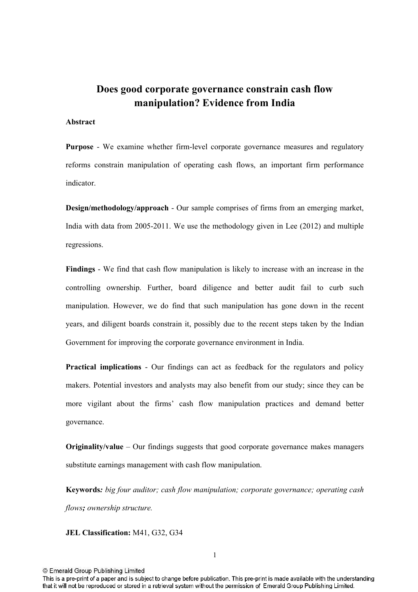# Does good corporate governance constrain cash flow manipulation? Evidence from India

### **Abstract**

**Purpose** - We examine whether firm-level corporate governance measures and regulatory reforms constrain manipulation of operating cash flows, an important firm performance indicator.

Design/methodology/approach - Our sample comprises of firms from an emerging market, India with data from  $2005-2011$ . We use the methodology given in Lee  $(2012)$  and multiple regressions.

Findings - We find that cash flow manipulation is likely to increase with an increase in the controlling ownership. Further, board diligence and better audit fail to curb such manipulation. However, we do find that such manipulation has gone down in the recent years, and diligent boards constrain it, possibly due to the recent steps taken by the Indian Government for improving the corporate governance environment in India.

**Practical implications -** Our findings can act as feedback for the regulators and policy makers. Potential investors and analysts may also benefit from our study; since they can be more vigilant about the firms' cash flow manipulation practices and demand better governance.

**Originality/value** – Our findings suggests that good corporate governance makes managers substitute earnings management with cash flow manipulation.

**Keywords:** big four auditor; cash flow manipulation; corporate governance; operating cash *flows-ownership structure.*

**JEL Classification:** M41, G32, G34

This is a pre-print of a paper and is subject to change before publication. This pre-print is made available with the understanding that it will not be reproduced or stored in a retrieval system without the permission of Emerald Group Publishing Limited.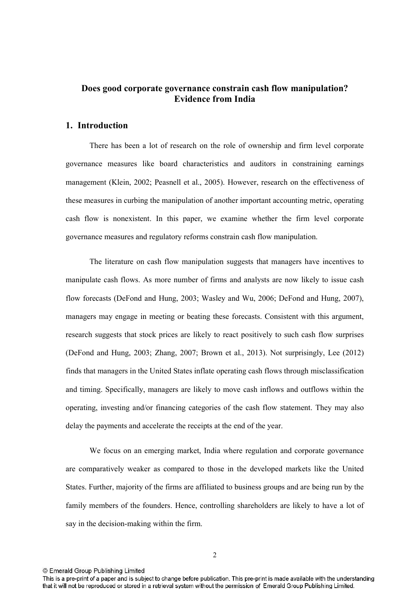# Does good corporate governance constrain cash flow manipulation? **Evidence from India**

## 1. Introduction

There has been a lot of research on the role of ownership and firm level corporate governance measures like board characteristics and auditors in constraining earnings management (Klein, 2002; Peasnell et al., 2005). However, research on the effectiveness of these measures in curbing the manipulation of another important accounting metric, operating cash flow is nonexistent. In this paper, we examine whether the firm level corporate governance measures and regulatory reforms constrain cash flow manipulation.

The literature on cash flow manipulation suggests that managers have incentives to manipulate cash flows. As more number of firms and analysts are now likely to issue cash flow forecasts (DeFond and Hung, 2003; Wasley and Wu, 2006; DeFond and Hung, 2007), managers may engage in meeting or beating these forecasts. Consistent with this argument, research suggests that stock prices are likely to react positively to such cash flow surprises (DeFond and Hung, 2003; Zhang, 2007; Brown et al., 2013). Not surprisingly, Lee (2012) finds that managers in the United States inflate operating cash flows through misclassification and timing. Specifically, managers are likely to move cash inflows and outflows within the operating, investing and/or financing categories of the cash flow statement. They may also delay the payments and accelerate the receipts at the end of the year.

We focus on an emerging market, India where regulation and corporate governance are comparatively weaker as compared to those in the developed markets like the United States. Further, majority of the firms are affiliated to business groups and are being run by the family members of the founders. Hence, controlling shareholders are likely to have a lot of say in the decision-making within the firm.

This is a pre-print of a paper and is subject to change before publication. This pre-print is made available with the understanding that it will not be reproduced or stored in a retrieval system without the permission of Emerald Group Publishing Limited.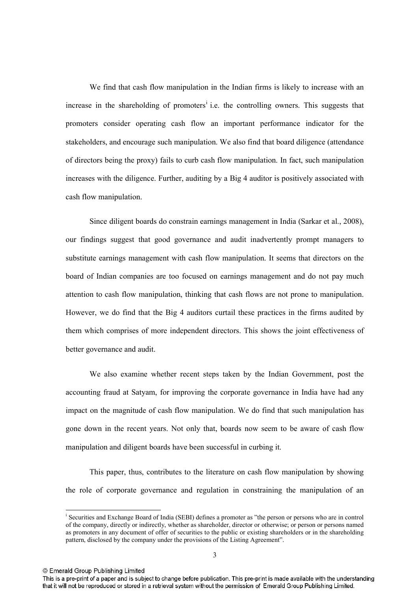We find that cash flow manipulation in the Indian firms is likely to increase with an increase in the shareholding of promoters<sup> $i$ </sup> i.e. the controlling owners. This suggests that promoters consider operating cash flow an important performance indicator for the stakeholders, and encourage such manipulation. We also find that board diligence (attendance of directors being the proxy) fails to curb cash flow manipulation. In fact, such manipulation increases with the diligence. Further, auditing by a Big 4 auditor is positively associated with cash flow manipulation.

Since diligent boards do constrain earnings management in India (Sarkar et al., 2008), our findings suggest that good governance and audit inadvertently prompt managers to substitute earnings management with cash flow manipulation. It seems that directors on the board of Indian companies are too focused on earnings management and do not pay much attention to cash flow manipulation, thinking that cash flows are not prone to manipulation. However, we do find that the Big 4 auditors curtail these practices in the firms audited by them which comprises of more independent directors. This shows the joint effectiveness of better governance and audit.

We also examine whether recent steps taken by the Indian Government, post the accounting fraud at Satyam, for improving the corporate governance in India have had any impact on the magnitude of cash flow manipulation. We do find that such manipulation has gone down in the recent years. Not only that, boards now seem to be aware of cash flow manipulation and diligent boards have been successful in curbing it.

This paper, thus, contributes to the literature on cash flow manipulation by showing the role of corporate governance and regulation in constraining the manipulation of an

© Emerald Group Publishing Limited

 $\overline{a}$ 

i Securities and Exchange Board of India (SEBI) defines a promoter as "the person or persons who are in control of the company, directly or indirectly, whether as shareholder, director or otherwise; or person or persons named as promoters in any document of offer of securities to the public or existing shareholders or in the shareholding pattern, disclosed by the company under the provisions of the Listing Agreement".

This is a pre-print of a paper and is subject to change before publication. This pre-print is made available with the understanding that it will not be reproduced or stored in a retrieval system without the permission of Emerald Group Publishing Limited.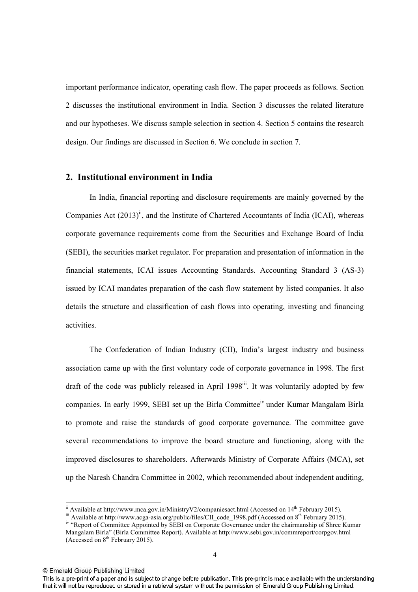important performance indicator, operating cash flow. The paper proceeds as follows. Section 2 discusses the institutional environment in India. Section 3 discusses the related literature and our hypotheses. We discuss sample selection in section 4. Section 5 contains the research design. Our findings are discussed in Section 6. We conclude in section 7.

## 2. Institutional environment in India

In India, financial reporting and disclosure requirements are mainly governed by the Companies Act  $(2013)^{ii}$ , and the Institute of Chartered Accountants of India (ICAI), whereas corporate governance requirements come from the Securities and Exchange Board of India (SEBI), the securities market regulator. For preparation and presentation of information in the financial statements, ICAI issues Accounting Standards. Accounting Standard 3 (AS3) issued by ICAI mandates preparation of the cash flow statement by listed companies. It also details the structure and classification of cash flows into operating, investing and financing activities.

 The Confederation of Indian Industry (CII), India's largest industry and business association came up with the first voluntary code of corporate governance in 1998. The first draft of the code was publicly released in April 1998<sup>ii</sup>. It was voluntarily adopted by few companies. In early 1999, SEBI set up the Birla Committee<sup>iv</sup> under Kumar Mangalam Birla to promote and raise the standards of good corporate governance. The committee gave several recommendations to improve the board structure and functioning, along with the improved disclosures to shareholders. Afterwards Ministry of Corporate Affairs (MCA), set up the Naresh Chandra Committee in 2002, which recommended about independent auditing,

 $\overline{a}$ 

This is a pre-print of a paper and is subject to change before publication. This pre-print is made available with the understanding that it will not be reproduced or stored in a retrieval system without the permission of Emerald Group Publishing Limited.

 $\mu$ <sup>ii</sup> Available at http://www.mca.gov.in/MinistryV2/companiesact.html (Accessed on 14<sup>th</sup> February 2015).

iii Available at http://www.acga-asia.org/public/files/CII code\_1998.pdf (Accessed on 8<sup>th</sup> February 2015).

<sup>&</sup>lt;sup>iv</sup> "Report of Committee Appointed by SEBI on Corporate Governance under the chairmanship of Shree Kumar Mangalam Birla" (Birla Committee Report). Available at http://www.sebi.gov.in/commreport/corpgov.html (Accessed on  $8<sup>th</sup>$  February 2015).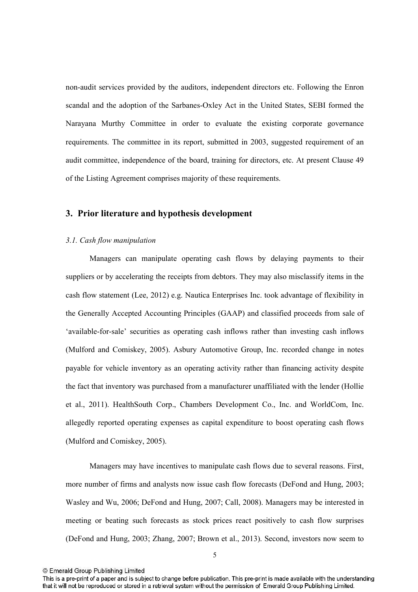non-audit services provided by the auditors, independent directors etc. Following the Enron scandal and the adoption of the Sarbanes-Oxley Act in the United States, SEBI formed the Narayana Murthy Committee in order to evaluate the existing corporate governance requirements. The committee in its report, submitted in 2003, suggested requirement of an audit committee, independence of the board, training for directors, etc. At present Clause 49 of the Listing Agreement comprises majority of these requirements.

## 3. Prior literature and hypothesis development

#### *3.1. Cash flow manipulation*

Managers can manipulate operating cash flows by delaying payments to their suppliers or by accelerating the receipts from debtors. They may also misclassify items in the cash flow statement (Lee, 2012) e.g. Nautica Enterprises Inc. took advantage of flexibility in the Generally Accepted Accounting Principles (GAAP) and classified proceeds from sale of 'available-for-sale' securities as operating cash inflows rather than investing cash inflows (Mulford and Comiskey, 2005). Asbury Automotive Group, Inc. recorded change in notes payable for vehicle inventory as an operating activity rather than financing activity despite the fact that inventory was purchased from a manufacturer unaffiliated with the lender (Hollie et al., 2011). HealthSouth Corp., Chambers Development Co., Inc. and WorldCom, Inc. allegedly reported operating expenses as capital expenditure to boost operating cash flows (Mulford and Comiskey, 2005).

Managers may have incentives to manipulate cash flows due to several reasons. First, more number of firms and analysts now issue cash flow forecasts (DeFond and Hung, 2003; Wasley and Wu, 2006; DeFond and Hung, 2007; Call, 2008). Managers may be interested in meeting or beating such forecasts as stock prices react positively to cash flow surprises (DeFond and Hung, 2003; Zhang, 2007; Brown et al., 2013). Second, investors now seem to

This is a pre-print of a paper and is subject to change before publication. This pre-print is made available with the understanding that it will not be reproduced or stored in a retrieval system without the permission of Emerald Group Publishing Limited.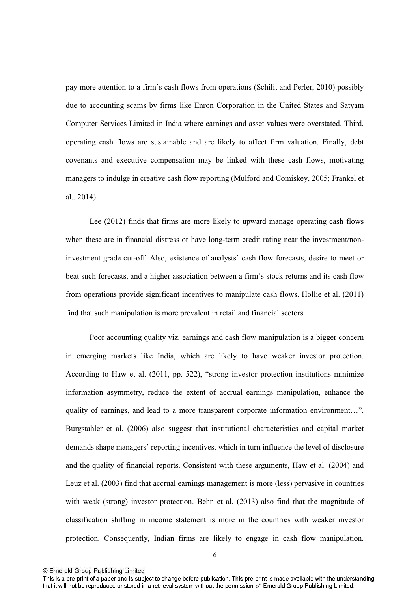pay more attention to a firm's cash flows from operations (Schilit and Perler, 2010) possibly due to accounting scams by firms like Enron Corporation in the United States and Satyam Computer Services Limited in India where earnings and asset values were overstated. Third, operating cash flows are sustainable and are likely to affect firm valuation. Finally, debt covenants and executive compensation may be linked with these cash flows, motivating managers to indulge in creative cash flow reporting (Mulford and Comiskey, 2005; Frankel et al., 2014).

Lee (2012) finds that firms are more likely to upward manage operating cash flows when these are in financial distress or have long-term credit rating near the investment/noninvestment grade cut-off. Also, existence of analysts' cash flow forecasts, desire to meet or beat such forecasts, and a higher association between a firm's stock returns and its cash flow from operations provide significant incentives to manipulate cash flows. Hollie et al. (2011) find that such manipulation is more prevalent in retail and financial sectors.

Poor accounting quality viz. earnings and cash flow manipulation is a bigger concern in emerging markets like India, which are likely to have weaker investor protection. According to Haw et al. (2011, pp. 522), "strong investor protection institutions minimize information asymmetry, reduce the extent of accrual earnings manipulation, enhance the quality of earnings, and lead to a more transparent corporate information environment…". Burgstahler et al. (2006) also suggest that institutional characteristics and capital market demands shape managers' reporting incentives, which in turn influence the level of disclosure and the quality of financial reports. Consistent with these arguments, Haw et al. (2004) and Leuz et al. (2003) find that accrual earnings management is more (less) pervasive in countries with weak (strong) investor protection. Behn et al. (2013) also find that the magnitude of classification shifting in income statement is more in the countries with weaker investor protection. Consequently, Indian firms are likely to engage in cash flow manipulation.

This is a pre-print of a paper and is subject to change before publication. This pre-print is made available with the understanding that it will not be reproduced or stored in a retrieval system without the permission of Emerald Group Publishing Limited.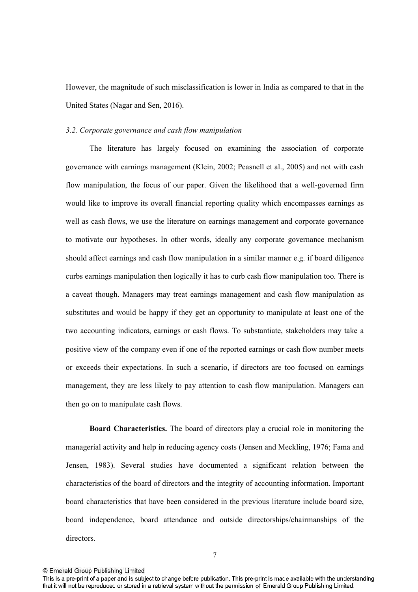However, the magnitude of such misclassification is lower in India as compared to that in the United States (Nagar and Sen, 2016).

#### *3.2. Corporate governance and cash flow manipulation*

The literature has largely focused on examining the association of corporate governance with earnings management (Klein, 2002; Peasnell et al., 2005) and not with cash flow manipulation, the focus of our paper. Given the likelihood that a well-governed firm would like to improve its overall financial reporting quality which encompasses earnings as well as cash flows, we use the literature on earnings management and corporate governance to motivate our hypotheses. In other words, ideally any corporate governance mechanism should affect earnings and cash flow manipulation in a similar manner e.g. if board diligence curbs earnings manipulation then logically it has to curb cash flow manipulation too. There is a caveat though. Managers may treat earnings management and cash flow manipulation as substitutes and would be happy if they get an opportunity to manipulate at least one of the two accounting indicators, earnings or cash flows. To substantiate, stakeholders may take a positive view of the company even if one of the reported earnings or cash flow number meets or exceeds their expectations. In such a scenario, if directors are too focused on earnings management, they are less likely to pay attention to cash flow manipulation. Managers can then go on to manipulate cash flows.

**Board Characteristics.** The board of directors play a crucial role in monitoring the managerial activity and help in reducing agency costs (Jensen and Meckling, 1976; Fama and Jensen, 1983). Several studies have documented a significant relation between the characteristics of the board of directors and the integrity of accounting information. Important board characteristics that have been considered in the previous literature include board size, board independence, board attendance and outside directorships/chairmanships of the directors.

This is a pre-print of a paper and is subject to change before publication. This pre-print is made available with the understanding that it will not be reproduced or stored in a retrieval system without the permission of Emerald Group Publishing Limited.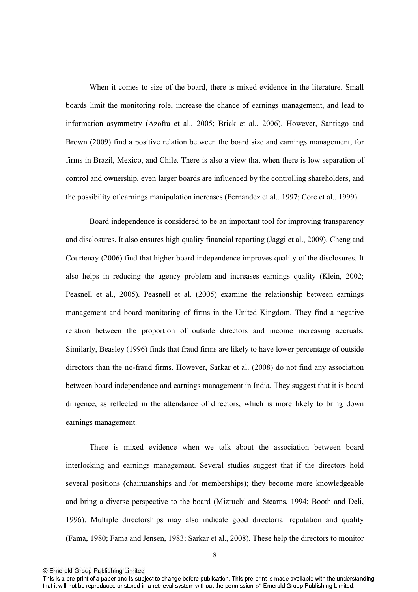When it comes to size of the board, there is mixed evidence in the literature. Small boards limit the monitoring role, increase the chance of earnings management, and lead to information asymmetry (Azofra et al., 2005; Brick et al., 2006). However, Santiago and Brown (2009) find a positive relation between the board size and earnings management, for firms in Brazil, Mexico, and Chile. There is also a view that when there is low separation of control and ownership, even larger boards are influenced by the controlling shareholders, and the possibility of earnings manipulation increases (Fernandez et al., 1997; Core et al., 1999).

Board independence is considered to be an important tool for improving transparency and disclosures. It also ensures high quality financial reporting (Jaggi et al., 2009). Cheng and Courtenay (2006) find that higher board independence improves quality of the disclosures. It also helps in reducing the agency problem and increases earnings quality (Klein, 2002; Peasnell et al., 2005). Peasnell et al. (2005) examine the relationship between earnings management and board monitoring of firms in the United Kingdom. They find a negative relation between the proportion of outside directors and income increasing accruals. Similarly, Beasley (1996) finds that fraud firms are likely to have lower percentage of outside directors than the no-fraud firms. However, Sarkar et al.  $(2008)$  do not find any association between board independence and earnings management in India. They suggest that it is board diligence, as reflected in the attendance of directors, which is more likely to bring down earnings management.

There is mixed evidence when we talk about the association between board interlocking and earnings management. Several studies suggest that if the directors hold several positions (chairmanships and /or memberships); they become more knowledgeable and bring a diverse perspective to the board (Mizruchi and Stearns, 1994; Booth and Deli, 1996). Multiple directorships may also indicate good directorial reputation and quality (Fama, 1980; Fama and Jensen, 1983; Sarkar et al., 2008). These help the directors to monitor

This is a pre-print of a paper and is subject to change before publication. This pre-print is made available with the understanding that it will not be reproduced or stored in a retrieval system without the permission of Emerald Group Publishing Limited.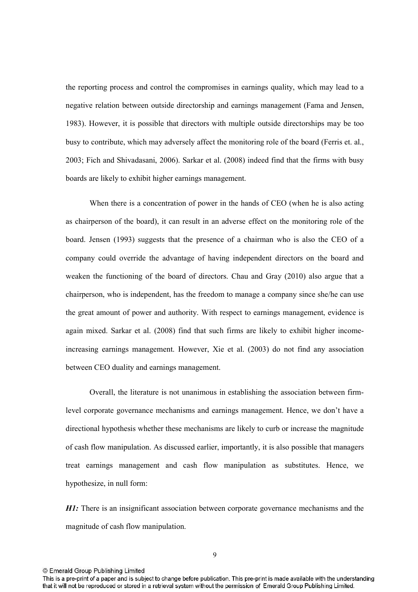the reporting process and control the compromises in earnings quality, which may lead to a negative relation between outside directorship and earnings management (Fama and Jensen, 1983). However, it is possible that directors with multiple outside directorships may be too busy to contribute, which may adversely affect the monitoring role of the board (Ferris et. al., 2003; Fich and Shivadasani, 2006). Sarkar et al. (2008) indeed find that the firms with busy boards are likely to exhibit higher earnings management.

When there is a concentration of power in the hands of CEO (when he is also acting as chairperson of the board), it can result in an adverse effect on the monitoring role of the board. Jensen (1993) suggests that the presence of a chairman who is also the CEO of a company could override the advantage of having independent directors on the board and weaken the functioning of the board of directors. Chau and Gray (2010) also argue that a chairperson, who is independent, has the freedom to manage a company since she/he can use the great amount of power and authority. With respect to earnings management, evidence is again mixed. Sarkar et al. (2008) find that such firms are likely to exhibit higher income increasing earnings management. However, Xie et al. (2003) do not find any association between CEO duality and earnings management.

Overall, the literature is not unanimous in establishing the association between firm level corporate governance mechanisms and earnings management. Hence, we don't have a directional hypothesis whether these mechanisms are likely to curb or increase the magnitude of cash flow manipulation. As discussed earlier, importantly, it is also possible that managers treat earnings management and cash flow manipulation as substitutes. Hence, we hypothesize, in null form:

*H1*: There is an insignificant association between corporate governance mechanisms and the magnitude of cash flow manipulation.

This is a pre-print of a paper and is subject to change before publication. This pre-print is made available with the understanding that it will not be reproduced or stored in a retrieval system without the permission of Emerald Group Publishing Limited.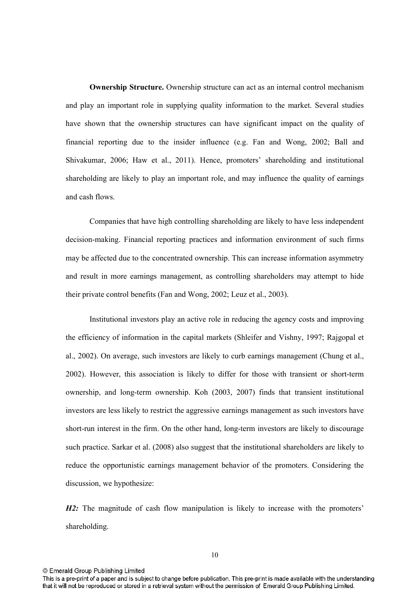**Ownership Structure.** Ownership structure can act as an internal control mechanism and play an important role in supplying quality information to the market. Several studies have shown that the ownership structures can have significant impact on the quality of financial reporting due to the insider influence (e.g. Fan and Wong, 2002; Ball and Shivakumar, 2006; Haw et al., 2011). Hence, promoters' shareholding and institutional shareholding are likely to play an important role, and may influence the quality of earnings and cash flows.

 Companies that have high controlling shareholding are likely to have less independent decision-making. Financial reporting practices and information environment of such firms may be affected due to the concentrated ownership. This can increase information asymmetry and result in more earnings management, as controlling shareholders may attempt to hide their private control benefits (Fan and Wong, 2002; Leuz et al., 2003).

Institutional investors play an active role in reducing the agency costs and improving the efficiency of information in the capital markets (Shleifer and Vishny, 1997; Rajgopal et al., 2002). On average, such investors are likely to curb earnings management (Chung et al., 2002). However, this association is likely to differ for those with transient or short-term ownership, and long-term ownership. Koh (2003, 2007) finds that transient institutional investors are less likely to restrict the aggressive earnings management as such investors have short-run interest in the firm. On the other hand, long-term investors are likely to discourage such practice. Sarkar et al. (2008) also suggest that the institutional shareholders are likely to reduce the opportunistic earnings management behavior of the promoters. Considering the discussion, we hypothesize:

*H2*: The magnitude of cash flow manipulation is likely to increase with the promoters' shareholding.

This is a pre-print of a paper and is subject to change before publication. This pre-print is made available with the understanding that it will not be reproduced or stored in a retrieval system without the permission of Emerald Group Publishing Limited.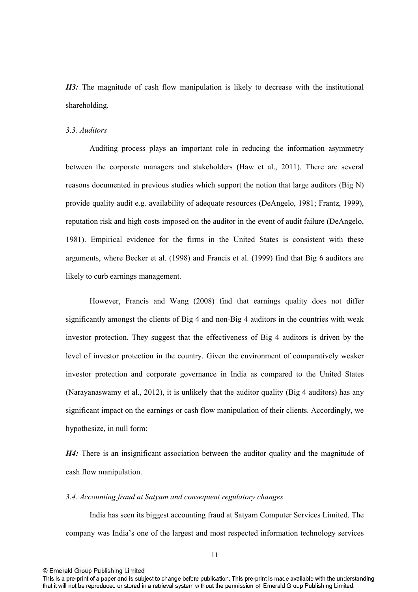H3: The magnitude of cash flow manipulation is likely to decrease with the institutional shareholding.

### *3.3. Auditors*

Auditing process plays an important role in reducing the information asymmetry between the corporate managers and stakeholders (Haw et al., 2011). There are several reasons documented in previous studies which support the notion that large auditors (Big N) provide quality audit e.g. availability of adequate resources (DeAngelo, 1981; Frantz, 1999), reputation risk and high costs imposed on the auditor in the event of audit failure (DeAngelo, 1981). Empirical evidence for the firms in the United States is consistent with these arguments, where Becker et al. (1998) and Francis et al. (1999) find that Big 6 auditors are likely to curb earnings management.

However, Francis and Wang (2008) find that earnings quality does not differ significantly amongst the clients of Big  $4$  and non-Big  $4$  auditors in the countries with weak investor protection. They suggest that the effectiveness of Big 4 auditors is driven by the level of investor protection in the country. Given the environment of comparatively weaker investor protection and corporate governance in India as compared to the United States (Narayanaswamy et al., 2012), it is unlikely that the auditor quality (Big 4 auditors) has any significant impact on the earnings or cash flow manipulation of their clients. Accordingly, we hypothesize, in null form:

H4: There is an insignificant association between the auditor quality and the magnitude of cash flow manipulation.

### *3.4. Accounting fraud at Satyam and consequent regulatory changes*

India has seen its biggest accounting fraud at Satyam Computer Services Limited. The company was India's one of the largest and most respected information technology services

This is a pre-print of a paper and is subject to change before publication. This pre-print is made available with the understanding that it will not be reproduced or stored in a retrieval system without the permission of Emerald Group Publishing Limited.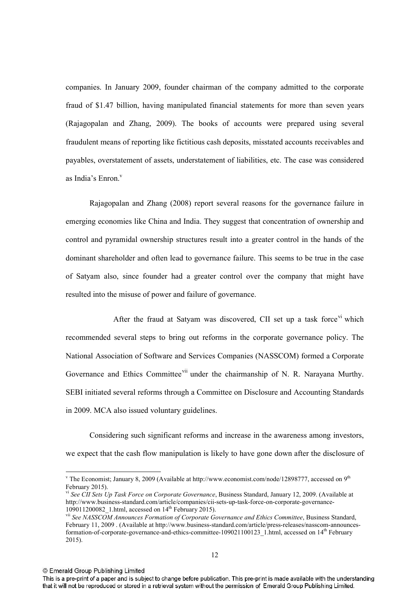companies. In January 2009, founder chairman of the company admitted to the corporate fraud of \$1.47 billion, having manipulated financial statements for more than seven years (Rajagopalan and Zhang, 2009). The books of accounts were prepared using several fraudulent means of reporting like fictitious cash deposits, misstated accounts receivables and payables, overstatement of assets, understatement of liabilities, etc. The case was considered as India's Enron.

Rajagopalan and Zhang (2008) report several reasons for the governance failure in emerging economies like China and India. They suggest that concentration of ownership and control and pyramidal ownership structures result into a greater control in the hands of the dominant shareholder and often lead to governance failure. This seems to be true in the case of Satyam also, since founder had a greater control over the company that might have resulted into the misuse of power and failure of governance.

After the fraud at Satyam was discovered, CII set up a task force  $\overline{v}$  which recommended several steps to bring out reforms in the corporate governance policy. The National Association of Software and Services Companies (NASSCOM) formed a Corporate Governance and Ethics Committee<sup>vii</sup> under the chairmanship of N. R. Narayana Murthy. SEBI initiated several reforms through a Committee on Disclosure and Accounting Standards in 2009. MCA also issued voluntary guidelines.

 Considering such significant reforms and increase in the awareness among investors, we expect that the cash flow manipulation is likely to have gone down after the disclosure of

© Emerald Group Publishing Limited

 $\overline{a}$ 

<sup>&</sup>lt;sup>v</sup> The Economist; January 8, 2009 (Available at http://www.economist.com/node/12898777, accessed on 9<sup>th</sup> February 2015).

vi *See CII Sets Up Task Force on Corporate Governance*, Business Standard, January 12, 2009. (Available at http://www.business-standard.com/article/companies/cii-sets-up-task-force-on-corporate-governance-109011200082\_1.html, accessed on 14<sup>th</sup> February 2015).

vii *See NASSCOM Announces Formation of Corporate Governance and Ethics Committee*, Business Standard, February 11, 2009 . (Available at http://www.business-standard.com/article/press-releases/nasscom-announcesformation-of-corporate-governance-and-ethics-committee-109021100123\_1.html, accessed on 14<sup>th</sup> February 2015).

This is a pre-print of a paper and is subject to change before publication. This pre-print is made available with the understanding that it will not be reproduced or stored in a retrieval system without the permission of Emerald Group Publishing Limited.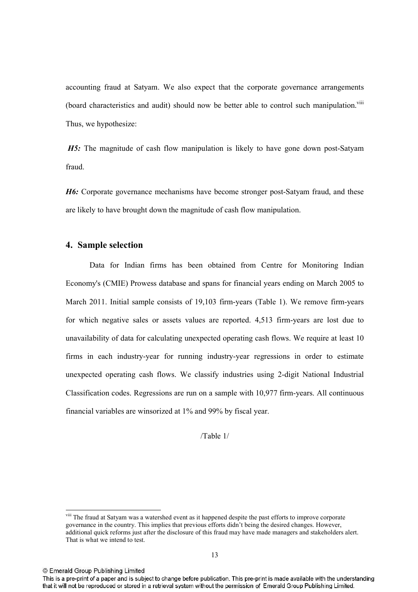accounting fraud at Satyam. We also expect that the corporate governance arrangements (board characteristics and audit) should now be better able to control such manipulation.<sup>viii</sup> Thus, we hypothesize:

**H5:** The magnitude of cash flow manipulation is likely to have gone down post-Satyam fraud.

H6: Corporate governance mechanisms have become stronger post-Satyam fraud, and these are likely to have brought down the magnitude of cash flow manipulation.

## 4. Sample selection

Data for Indian firms has been obtained from Centre for Monitoring Indian Economy's (CMIE) Prowess database and spans for financial years ending on March 2005 to March 2011. Initial sample consists of 19,103 firm-years (Table 1). We remove firm-years for which negative sales or assets values are reported. 4,513 firm-years are lost due to unavailability of data for calculating unexpected operating cash flows. We require at least 10 firms in each industry-year for running industry-year regressions in order to estimate unexpected operating cash flows. We classify industries using 2-digit National Industrial Classification codes. Regressions are run on a sample with 10,977 firmyears. All continuous financial variables are winsorized at 1% and 99% by fiscal year.

/Table 1/

 $\overline{a}$ 

<sup>&</sup>lt;sup>viii</sup> The fraud at Satyam was a watershed event as it happened despite the past efforts to improve corporate governance in the country. This implies that previous efforts didn't being the desired changes. However, additional quick reforms just after the disclosure of this fraud may have made managers and stakeholders alert. That is what we intend to test.

This is a pre-print of a paper and is subject to change before publication. This pre-print is made available with the understanding that it will not be reproduced or stored in a retrieval system without the permission of Emerald Group Publishing Limited.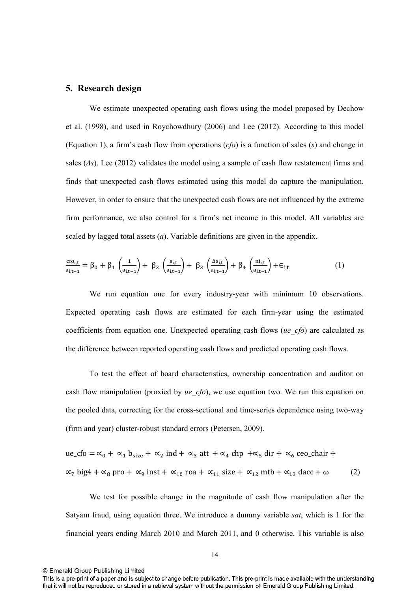## **5.** Research design

We estimate unexpected operating cash flows using the model proposed by Dechow et al. (1998), and used in Roychowdhury (2006) and Lee (2012). According to this model (Equation 1), a firm's cash flow from operations (*cfo*) is a function of sales (*s*) and change in sales  $(\Delta s)$ . Lee (2012) validates the model using a sample of cash flow restatement firms and finds that unexpected cash flows estimated using this model do capture the manipulation. However, in order to ensure that the unexpected cash flows are not influenced by the extreme firm performance, we also control for a firm's net income in this model. All variables are scaled by lagged total assets (*a*). Variable definitions are given in the appendix.

$$
\frac{c f o_{i,t}}{a_{i,t-1}} = \beta_0 + \beta_1 \left( \frac{1}{a_{i,t-1}} \right) + \beta_2 \left( \frac{s_{i,t}}{a_{i,t-1}} \right) + \beta_3 \left( \frac{\Delta s_{i,t}}{a_{i,t-1}} \right) + \beta_4 \left( \frac{n i_{i,t}}{a_{i,t-1}} \right) + \epsilon_{i,t} \tag{1}
$$

We run equation one for every industry-year with minimum 10 observations. Expected operating cash flows are estimated for each firm-year using the estimated coefficients from equation one. Unexpected operating cash flows (*ue\_cfo*) are calculated as the difference between reported operating cash flows and predicted operating cash flows.

To test the effect of board characteristics, ownership concentration and auditor on cash flow manipulation (proxied by *ue\_cfo*), we use equation two. We run this equation on the pooled data, correcting for the cross-sectional and time-series dependence using two-way (firm and year) cluster-robust standard errors (Petersen, 2009).

$$
ue_cfo = \alpha_0 + \alpha_1 b_{size} + \alpha_2 ind + \alpha_3 att + \alpha_4 chp + \alpha_5 dir + \alpha_6 ceo_chair +
$$
  

$$
\alpha_7 big4 + \alpha_8 pro + \alpha_9 inst + \alpha_{10} roa + \alpha_{11} size + \alpha_{12} mtb + \alpha_{13} dacc + \omega
$$
 (2)

We test for possible change in the magnitude of cash flow manipulation after the Satyam fraud, using equation three. We introduce a dummy variable *sat*, which is 1 for the financial years ending March 2010 and March 2011, and 0 otherwise. This variable is also

© Emerald Group Publishing Limited

This is a pre-print of a paper and is subject to change before publication. This pre-print is made available with the understanding that it will not be reproduced or stored in a retrieval system without the permission of Emerald Group Publishing Limited.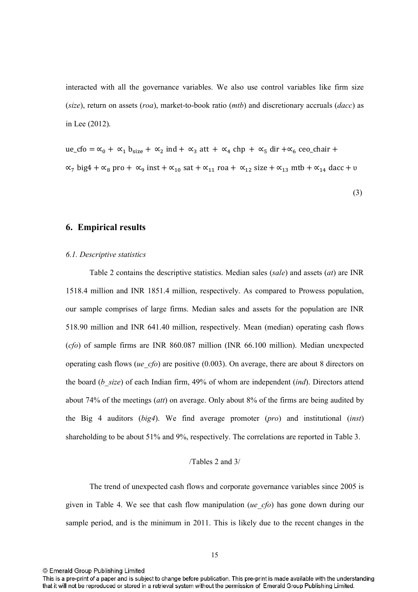interacted with all the governance variables. We also use control variables like firm size (*size*), return on assets (*roa*), market-to-book ratio (*mtb*) and discretionary accruals (*dacc*) as in Lee (2012).

ue\_cfo =  $\alpha_0$  +  $\alpha_1$  b<sub>size</sub> +  $\alpha_2$  ind +  $\alpha_3$  att +  $\alpha_4$  chp +  $\alpha_5$  dir + $\alpha_6$  ceo\_chair +  $\alpha_7$  big4 +  $\alpha_8$  pro +  $\alpha_9$  inst +  $\alpha_{10}$  sat +  $\alpha_{11}$  roa +  $\alpha_{12}$  size +  $\alpha_{13}$  mtb +  $\alpha_{14}$  dacc + v

(3)

## **6. Empirical results**

#### *6.1. Descriptive statistics*

Table 2 contains the descriptive statistics. Median sales (*sale*) and assets (*at*) are INR 1518.4 million and INR 1851.4 million, respectively. As compared to Prowess population, our sample comprises of large firms. Median sales and assets for the population are INR 518.90 million and INR 641.40 million, respectively. Mean (median) operating cash flows (*cfo*) of sample firms are INR 860.087 million (INR 66.100 million). Median unexpected operating cash flows (*ue\_cfo*) are positive (0.003). On average, there are about 8 directors on the board (*b\_size*) of each Indian firm, 49% of whom are independent (*ind*). Directors attend about 74% of the meetings (*att*) on average. Only about 8% of the firms are being audited by the Big 4 auditors (*big4*). We find average promoter (*pro*) and institutional (*inst*) shareholding to be about 51% and 9%, respectively. The correlations are reported in Table 3.

### /Tables 2 and 3/

The trend of unexpected cash flows and corporate governance variables since 2005 is given in Table 4. We see that cash flow manipulation (*ue\_cfo*) has gone down during our sample period, and is the minimum in 2011. This is likely due to the recent changes in the

This is a pre-print of a paper and is subject to change before publication. This pre-print is made available with the understanding that it will not be reproduced or stored in a retrieval system without the permission of Emerald Group Publishing Limited.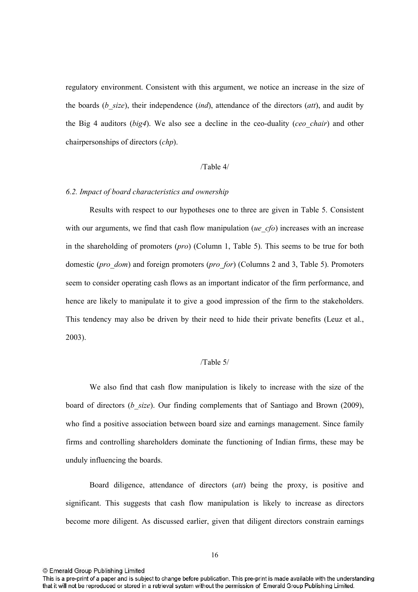regulatory environment. Consistent with this argument, we notice an increase in the size of the boards (*b\_size*), their independence (*ind*), attendance of the directors (*att*), and audit by the Big 4 auditors (*big4*). We also see a decline in the ceo-duality (*ceo chair*) and other chairpersonships of directors (*chp*).

### /Table 4/

### *6.2. Impact of board characteristics and ownership*

Results with respect to our hypotheses one to three are given in Table 5. Consistent with our arguments, we find that cash flow manipulation (*ue cfo*) increases with an increase in the shareholding of promoters (*pro*) (Column 1, Table 5). This seems to be true for both domestic (*pro\_dom*) and foreign promoters (*pro\_for*) (Columns 2 and 3, Table 5). Promoters seem to consider operating cash flows as an important indicator of the firm performance, and hence are likely to manipulate it to give a good impression of the firm to the stakeholders. This tendency may also be driven by their need to hide their private benefits (Leuz et al., 2003).

### /Table 5/

We also find that cash flow manipulation is likely to increase with the size of the board of directors (*b\_size*). Our finding complements that of Santiago and Brown (2009), who find a positive association between board size and earnings management. Since family firms and controlling shareholders dominate the functioning of Indian firms, these may be unduly influencing the boards.

 Board diligence, attendance of directors (*att*) being the proxy, is positive and significant. This suggests that cash flow manipulation is likely to increase as directors become more diligent. As discussed earlier, given that diligent directors constrain earnings

This is a pre-print of a paper and is subject to change before publication. This pre-print is made available with the understanding that it will not be reproduced or stored in a retrieval system without the permission of Emerald Group Publishing Limited.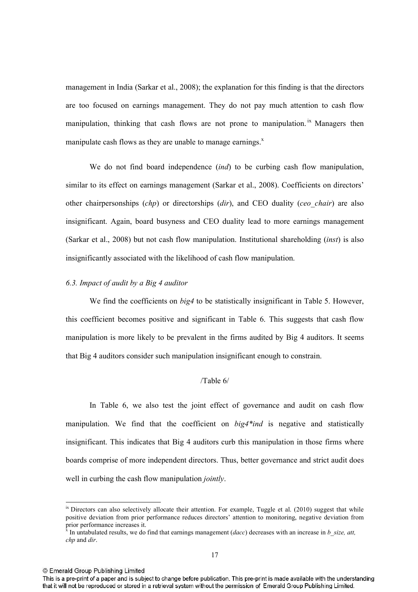management in India (Sarkar et al., 2008); the explanation for this finding is that the directors are too focused on earnings management. They do not pay much attention to cash flow manipulation, thinking that cash flows are not prone to manipulation.  $\frac{1}{x}$  Managers then manipulate cash flows as they are unable to manage earnings.<sup>x</sup>

 We do not find board independence (*ind*) to be curbing cash flow manipulation, similar to its effect on earnings management (Sarkar et al., 2008). Coefficients on directors' other chairpersonships (*chp*) or directorships (*dir*), and CEO duality (*ceo\_chair*) are also insignificant. Again, board busyness and CEO duality lead to more earnings management (Sarkar et al., 2008) but not cash flow manipulation. Institutional shareholding (*inst*) is also insignificantly associated with the likelihood of cash flow manipulation.

### *6.3. Impact of audit by a Big 4 auditor*

We find the coefficients on *big4* to be statistically insignificant in Table 5. However, this coefficient becomes positive and significant in Table 6. This suggests that cash flow manipulation is more likely to be prevalent in the firms audited by Big 4 auditors. It seems that Big 4 auditors consider such manipulation insignificant enough to constrain.

### /Table 6/

In Table 6, we also test the joint effect of governance and audit on cash flow manipulation. We find that the coefficient on *big4\*ind* is negative and statistically insignificant. This indicates that Big 4 auditors curb this manipulation in those firms where boards comprise of more independent directors. Thus, better governance and strict audit does well in curbing the cash flow manipulation *jointly*.

© Emerald Group Publishing Limited

 $\overline{a}$ 

 $i<sup>x</sup>$  Directors can also selectively allocate their attention. For example, Tuggle et al. (2010) suggest that while positive deviation from prior performance reduces directors' attention to monitoring, negative deviation from prior performance increases it.<br><sup>x</sup> In untebulated results, we do

In untabulated results, we do find that earnings management (*dacc*) decreases with an increase in *b* size, att, *chp* and *dir*.

This is a pre-print of a paper and is subject to change before publication. This pre-print is made available with the understanding that it will not be reproduced or stored in a retrieval system without the permission of Emerald Group Publishing Limited.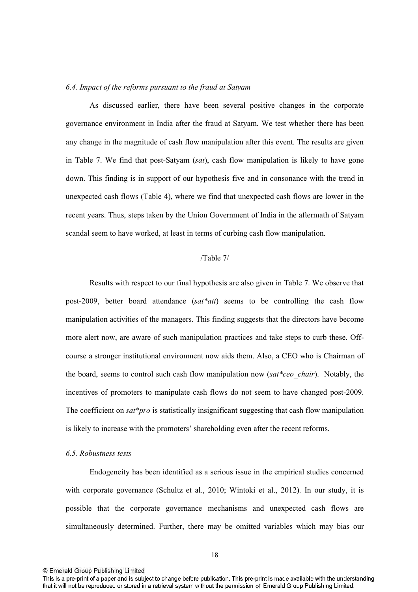#### *6.4. Impact of the reforms pursuant to the fraud at Satyam*

As discussed earlier, there have been several positive changes in the corporate governance environment in India after the fraud at Satyam. We test whether there has been any change in the magnitude of cash flow manipulation after this event. The results are given in Table 7. We find that post-Satyam (*sat*), cash flow manipulation is likely to have gone down. This finding is in support of our hypothesis five and in consonance with the trend in unexpected cash flows (Table 4), where we find that unexpected cash flows are lower in the recent years. Thus, steps taken by the Union Government of India in the aftermath of Satyam scandal seem to have worked, at least in terms of curbing cash flow manipulation.

### /Table 7/

Results with respect to our final hypothesis are also given in Table 7. We observe that post2009, better board attendance (*sat\*att*) seems to be controlling the cash flow manipulation activities of the managers. This finding suggests that the directors have become more alert now, are aware of such manipulation practices and take steps to curb these. Off course a stronger institutional environment now aids them. Also, a CEO who is Chairman of the board, seems to control such cash flow manipulation now (*sat\*ceo\_chair*). Notably, the incentives of promoters to manipulate cash flows do not seem to have changed post-2009. The coefficient on *sat\*pro* is statistically insignificant suggesting that cash flow manipulation is likely to increase with the promoters' shareholding even after the recent reforms.

#### *6.5. Robustness tests*

Endogeneity has been identified as a serious issue in the empirical studies concerned with corporate governance (Schultz et al., 2010; Wintoki et al., 2012). In our study, it is possible that the corporate governance mechanisms and unexpected cash flows are simultaneously determined. Further, there may be omitted variables which may bias our

This is a pre-print of a paper and is subject to change before publication. This pre-print is made available with the understanding that it will not be reproduced or stored in a retrieval system without the permission of Emerald Group Publishing Limited.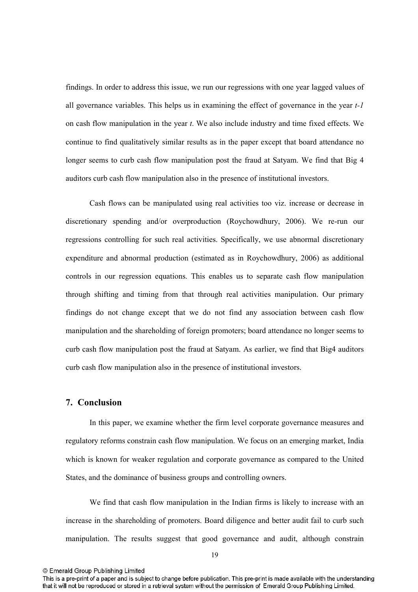findings. In order to address this issue, we run our regressions with one year lagged values of all governance variables. This helps us in examining the effect of governance in the year  $t-1$ on cash flow manipulation in the year *t*. We also include industry and time fixed effects. We continue to find qualitatively similar results as in the paper except that board attendance no longer seems to curb cash flow manipulation post the fraud at Satyam. We find that Big 4 auditors curb cash flow manipulation also in the presence of institutional investors.

Cash flows can be manipulated using real activities too viz. increase or decrease in discretionary spending and/or overproduction (Roychowdhury, 2006). We re-run our regressions controlling for such real activities. Specifically, we use abnormal discretionary expenditure and abnormal production (estimated as in Roychowdhury, 2006) as additional controls in our regression equations. This enables us to separate cash flow manipulation through shifting and timing from that through real activities manipulation. Our primary findings do not change except that we do not find any association between cash flow manipulation and the shareholding of foreign promoters; board attendance no longer seems to curb cash flow manipulation post the fraud at Satyam. As earlier, we find that Big4 auditors curb cash flow manipulation also in the presence of institutional investors.

## **7.** Conclusion

In this paper, we examine whether the firm level corporate governance measures and regulatory reforms constrain cash flow manipulation. We focus on an emerging market, India which is known for weaker regulation and corporate governance as compared to the United States, and the dominance of business groups and controlling owners.

We find that cash flow manipulation in the Indian firms is likely to increase with an increase in the shareholding of promoters. Board diligence and better audit fail to curb such manipulation. The results suggest that good governance and audit, although constrain

This is a pre-print of a paper and is subject to change before publication. This pre-print is made available with the understanding that it will not be reproduced or stored in a retrieval system without the permission of Emerald Group Publishing Limited.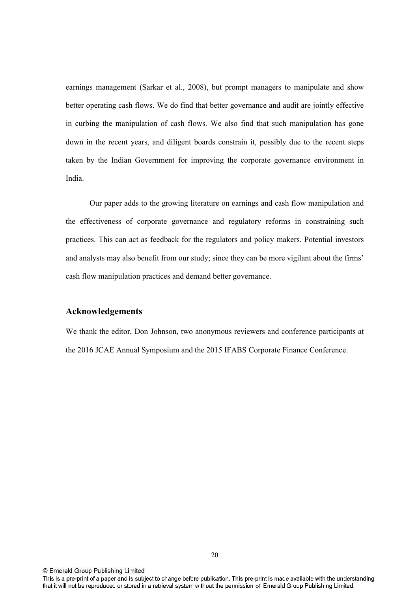earnings management (Sarkar et al., 2008), but prompt managers to manipulate and show better operating cash flows. We do find that better governance and audit are jointly effective in curbing the manipulation of cash flows. We also find that such manipulation has gone down in the recent years, and diligent boards constrain it, possibly due to the recent steps taken by the Indian Government for improving the corporate governance environment in India.

Our paper adds to the growing literature on earnings and cash flow manipulation and the effectiveness of corporate governance and regulatory reforms in constraining such practices. This can act as feedback for the regulators and policy makers. Potential investors and analysts may also benefit from our study; since they can be more vigilant about the firms' cash flow manipulation practices and demand better governance.

## Acknowledgements

We thank the editor, Don Johnson, two anonymous reviewers and conference participants at the 2016 JCAE Annual Symposium and the 2015 IFABS Corporate Finance Conference.

This is a pre-print of a paper and is subject to change before publication. This pre-print is made available with the understanding that it will not be reproduced or stored in a retrieval system without the permission of Emerald Group Publishing Limited.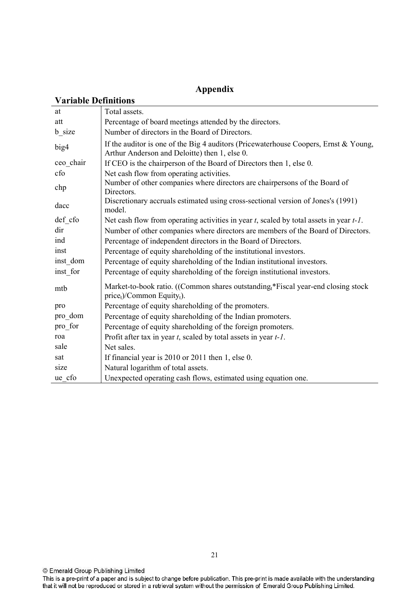# **Appendix**

| at        | Total assets.                                                                                                                         |
|-----------|---------------------------------------------------------------------------------------------------------------------------------------|
| att       | Percentage of board meetings attended by the directors.                                                                               |
| b_size    | Number of directors in the Board of Directors.                                                                                        |
| big4      | If the auditor is one of the Big 4 auditors (Pricewaterhouse Coopers, Ernst & Young,<br>Arthur Anderson and Deloitte) then 1, else 0. |
| ceo chair | If CEO is the chairperson of the Board of Directors then 1, else 0.                                                                   |
| cfo       | Net cash flow from operating activities.                                                                                              |
| chp       | Number of other companies where directors are chairpersons of the Board of<br>Directors.                                              |
| dacc      | Discretionary accruals estimated using cross-sectional version of Jones's (1991)<br>model.                                            |
| def cfo   | Net cash flow from operating activities in year $t$ , scaled by total assets in year $t$ -1.                                          |
| dir       | Number of other companies where directors are members of the Board of Directors.                                                      |
| ind       | Percentage of independent directors in the Board of Directors.                                                                        |
| inst      | Percentage of equity shareholding of the institutional investors.                                                                     |
| inst dom  | Percentage of equity shareholding of the Indian institutional investors.                                                              |
| inst for  | Percentage of equity shareholding of the foreign institutional investors.                                                             |
| mtb       | Market-to-book ratio. ((Common shares outstanding $*$ Fiscal year-end closing stock<br>$price_t$ /Common Equity <sub>t</sub> ).       |
| pro       | Percentage of equity shareholding of the promoters.                                                                                   |
| pro_dom   | Percentage of equity shareholding of the Indian promoters.                                                                            |
| pro for   | Percentage of equity shareholding of the foreign promoters.                                                                           |
| roa       | Profit after tax in year $t$ , scaled by total assets in year $t$ -1.                                                                 |
| sale      | Net sales.                                                                                                                            |
| sat       | If financial year is 2010 or 2011 then 1, else 0.                                                                                     |
| size      | Natural logarithm of total assets.                                                                                                    |
| ue cfo    | Unexpected operating cash flows, estimated using equation one.                                                                        |

© Emerald Group Publishing Limited<br>This is a pre-print of a paper and is subject to change before publication. This pre-print is made available with the understanding<br>that it will not be reproduced or stored in a retrieval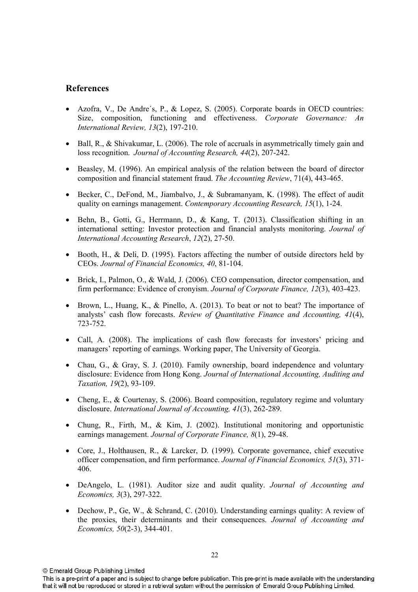# **References**

- Azofra, V., De Andre´s, P., & Lopez, S. (2005). Corporate boards in OECD countries: Size, composition, functioning and effectiveness. *Corporate Governance: An International Review, 13(2), 197-210.*
- $\bullet$  Ball, R., & Shivakumar, L. (2006). The role of accruals in asymmetrically timely gain and loss recognition. *Journal of Accounting Research, 44(2), 207-242.*
- Beasley, M. (1996). An empirical analysis of the relation between the board of director composition and financial statement fraud. *The Accounting Review*, 71(4), 443-465.
- Becker, C., DeFond, M., Jiambalvo, J., & Subramanyam, K. (1998). The effect of audit quality on earnings management. *Contemporary Accounting Research, 15*(1), 124.
- Behn, B., Gotti, G., Herrmann, D., & Kang, T. (2013). Classification shifting in an international setting: Investor protection and financial analysts monitoring. *Journal of International Accounting Research, 12(2), 27-50.*
- Booth, H., & Deli, D. (1995). Factors affecting the number of outside directors held by CEOs. *Journal of Financial Economics, 40, 81-104.*
- Brick, I., Palmon, O., & Wald, J. (2006). CEO compensation, director compensation, and firm performance: Evidence of cronyism. *Journal of Corporate Finance*,  $12(3)$ , 403-423.
- $\bullet$  Brown, L., Huang, K., & Pinello, A. (2013). To beat or not to beat? The importance of analysts' cash flow forecasts. *Review of Quantitative Finance and Accounting, 41*(4), 723-752.
- Call, A. (2008). The implications of cash flow forecasts for investors' pricing and managers' reporting of earnings. Working paper, The University of Georgia.
- Chau, G., & Gray, S. J. (2010). Family ownership, board independence and voluntary disclosure: Evidence from Hong Kong. *Journal of International Accounting, Auditing and Taxation, 19(2), 93-109.*
- Cheng, E., & Courtenay, S. (2006). Board composition, regulatory regime and voluntary disclosure. *International Journal of Accounting, 41(3), 262-289.*
- Chung, R., Firth, M., & Kim, J. (2002). Institutional monitoring and opportunistic earnings management. *Journal of Corporate Finance*, 8(1), 29-48.
- Core, J., Holthausen, R., & Larcker, D. (1999). Corporate governance, chief executive officer compensation, and firm performance. *Journal of Financial Economics, 51*(3), 371 406.
- DeAngelo, L. (1981). Auditor size and audit quality. *Journal of Accounting and Economics, 3(3), 297-322.*
- Dechow, P., Ge, W., & Schrand, C. (2010). Understanding earnings quality: A review of the proxies, their determinants and their consequences. *Journal of Accounting and Economics, 50*(2-3), 344-401.

This is a pre-print of a paper and is subject to change before publication. This pre-print is made available with the understanding that it will not be reproduced or stored in a retrieval system without the permission of Emerald Group Publishing Limited.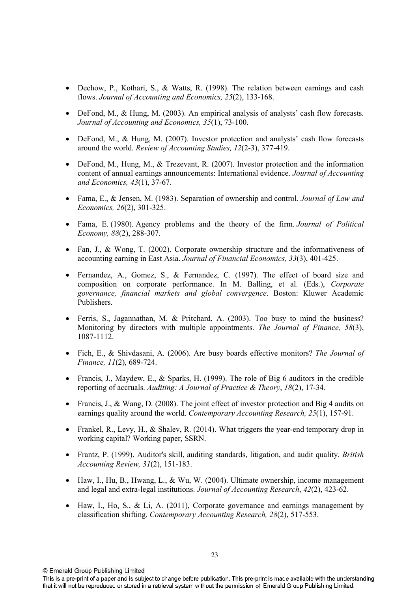- Dechow, P., Kothari, S., & Watts, R. (1998). The relation between earnings and cash flows. *Journal of Accounting and Economics, 25(2)*, 133-168.
- DeFond, M., & Hung, M. (2003). An empirical analysis of analysts' cash flow forecasts. *Journal of Accounting and Economics, 35(1), 73-100.*
- DeFond, M., & Hung, M. (2007). Investor protection and analysts' cash flow forecasts around the world. *Review of Accounting Studies, 12*(2-3), 377-419.
- DeFond, M., Hung, M., & Trezevant, R. (2007). Investor protection and the information content of annual earnings announcements: International evidence. *Journal of Accounting*  and Economics, 43(1), 37-67.
- Fama, E., & Jensen, M. (1983). Separation of ownership and control. *Journal of Law and Economics, 26(2), 301-325.*
- Fama, E. (1980). Agency problems and the theory of the firm. *Journal of Political Economy, 88(2), 288-307.*
- Fan, J., & Wong, T. (2002). Corporate ownership structure and the informativeness of accounting earning in East Asia. *Journal of Financial Economics, 33(3), 401-425.*
- Fernandez, A., Gomez, S., & Fernandez, C. (1997). The effect of board size and composition on corporate performance. In M. Balling, et al. (Eds.), *Corporate governance, financial markets and global convergence*. Boston: Kluwer Academic Publishers.
- Ferris, S., Jagannathan, M. & Pritchard, A. (2003). Too busy to mind the business? Monitoring by directors with multiple appointments. *The Journal of Finance, 58*(3), 10871112.
- Fich, E., & Shivdasani, A. (2006). Are busy boards effective monitors? *The Journal of Finance, 11*(2), 689-724.
- Francis, J., Maydew, E., & Sparks, H. (1999). The role of Big 6 auditors in the credible reporting of accruals. *Auditing: A Journal of Practice & Theory*, *18*(2), 1734.
- Francis, J., & Wang, D. (2008). The joint effect of investor protection and Big 4 audits on earnings quality around the world. *Contemporary Accounting Research*, 25(1), 157-91.
- Frankel, R., Levy, H., & Shalev, R. (2014). What triggers the year-end temporary drop in working capital? Working paper, SSRN.
- Frantz, P. (1999). Auditor's skill, auditing standards, litigation, and audit quality. *British Accounting Review, 31(2), 151-183.*
- Haw, I., Hu, B., Hwang, L., & Wu, W. (2004). Ultimate ownership, income management and legal and extra-legal institutions. *Journal of Accounting Research*, 42(2), 423-62.
- Haw, I., Ho, S., & Li, A. (2011), Corporate governance and earnings management by classification shifting. *Contemporary Accounting Research, 28*(2), 517-553.

This is a pre-print of a paper and is subject to change before publication. This pre-print is made available with the understanding that it will not be reproduced or stored in a retrieval system without the permission of Emerald Group Publishing Limited.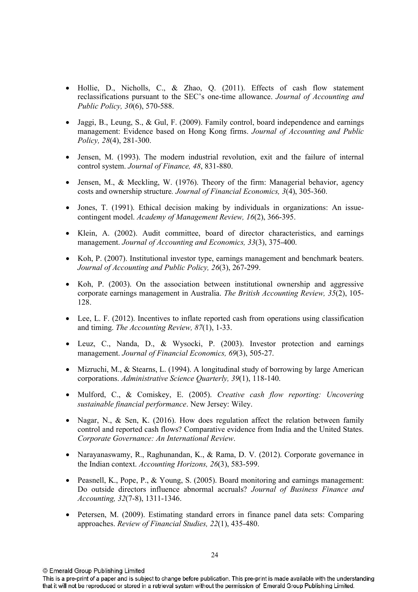- Hollie, D., Nicholls, C., & Zhao, Q. (2011). Effects of cash flow statement reclassifications pursuant to the SEC's onetime allowance. *Journal of Accounting and Public Policy, 30(6), 570-588.*
- $\bullet$  Jaggi, B., Leung, S., & Gul, F. (2009). Family control, board independence and earnings management: Evidence based on Hong Kong firms. *Journal of Accounting and Public Policy, 28*(4), 281-300.
- Jensen, M. (1993). The modern industrial revolution, exit and the failure of internal control system. *Journal of Finance*, 48, 831-880.
- Jensen, M., & Meckling, W. (1976). Theory of the firm: Managerial behavior, agency costs and ownership structure. Journal of Financial Economics, 3(4), 305-360.
- Jones, T. (1991). Ethical decision making by individuals in organizations: An issuecontingent model. *Academy of Management Review, 16*(2), 366-395.
- Klein, A. (2002). Audit committee, board of director characteristics, and earnings management. *Journal of Accounting and Economics*, 33(3), 375-400.
- Koh, P. (2007). Institutional investor type, earnings management and benchmark beaters. *Journal of Accounting and Public Policy, 26*(3), 267-299.
- Koh, P. (2003). On the association between institutional ownership and aggressive corporate earnings management in Australia. *The British Accounting Review, 35*(2), 105 128.
- Lee, L. F. (2012). Incentives to inflate reported cash from operations using classification and timing. *The Accounting Review, 87(1)*, 1-33.
- Leuz, C., Nanda, D., & Wysocki, P. (2003). Investor protection and earnings management. *Journal of Financial Economics*, 69(3), 505-27.
- Mizruchi, M., & Stearns, L. (1994). A longitudinal study of borrowing by large American corporations. *Administrative Science Quarterly, 39*(1), 118-140.
- Mulford, C., & Comiskey, E. (2005). *Creative cash flow reporting: Uncovering sustainable financial performance*. New Jersey: Wiley.
- Nagar, N., & Sen, K. (2016). How does regulation affect the relation between family control and reported cash flows? Comparative evidence from India and the United States. *Corporate Governance: An International Review*.
- Narayanaswamy, R., Raghunandan, K., & Rama, D. V. (2012). Corporate governance in the Indian context. *Accounting Horizons*, 26(3), 583-599.
- Peasnell, K., Pope, P., & Young, S. (2005). Board monitoring and earnings management: Do outside directors influence abnormal accruals? *Journal of Business Finance and Accounting, 32(7-8), 1311-1346.*
- Petersen, M. (2009). Estimating standard errors in finance panel data sets: Comparing approaches. *Review of Financial Studies, 22(1), 435-480.*

This is a pre-print of a paper and is subject to change before publication. This pre-print is made available with the understanding that it will not be reproduced or stored in a retrieval system without the permission of Emerald Group Publishing Limited.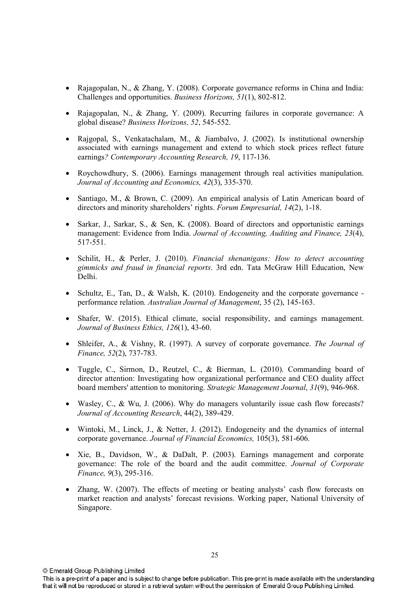- Rajagopalan, N., & Zhang, Y. (2008). Corporate governance reforms in China and India: Challenges and opportunities. *Business Horizons*, 51(1), 802-812.
- Rajagopalan, N., & Zhang, Y. (2009). Recurring failures in corporate governance: A global disease? *Business Horizons*, 52, 545-552.
- Rajgopal, S., Venkatachalam, M., & Jiambalvo, J. (2002). Is institutional ownership associated with earnings management and extend to which stock prices reflect future earnings? Contemporary Accounting Research, 19, 117-136.
- Roychowdhury, S. (2006). Earnings management through real activities manipulation. *Journal of Accounting and Economics, 42(3), 335-370.*
- Santiago, M., & Brown, C. (2009). An empirical analysis of Latin American board of directors and minority shareholders' rights. *Forum Empresarial*, 14(2), 1-18.
- Sarkar, J., Sarkar, S., & Sen, K. (2008). Board of directors and opportunistic earnings management: Evidence from India. *Journal of Accounting, Auditing and Finance, 23*(4), 517-551.
- Schilit, H., & Perler, J. (2010). *Financial shenanigans: How to detect accounting gimmicks and fraud in financial reports*. 3rd edn. Tata McGraw Hill Education, New Delhi.
- Schultz, E., Tan, D., & Walsh, K. (2010). Endogeneity and the corporate governance performance relation. *Australian Journal of Management*, 35 (2), 145-163.
- Shafer, W. (2015). Ethical climate, social responsibility, and earnings management. *Journal of Business Ethics, 126(1), 43-60.*
- Shleifer, A., & Vishny, R. (1997). A survey of corporate governance. *The Journal of Finance, 52(2), 737-783.*
- Tuggle, C., Sirmon, D., Reutzel, C., & Bierman, L. (2010). Commanding board of director attention: Investigating how organizational performance and CEO duality affect board members' attention to monitoring. *Strategic Management Journal*, 31(9), 946-968.
- Wasley, C., & Wu, J. (2006). Why do managers voluntarily issue cash flow forecasts? *Journal of Accounting Research, 44(2), 389-429.*
- Wintoki, M., Linck, J., & Netter, J. (2012). Endogeneity and the dynamics of internal corporate governance. *Journal of Financial Economics*, 105(3), 581-606.
- Xie, B., Davidson, W., & DaDalt, P. (2003). Earnings management and corporate governance: The role of the board and the audit committee. *Journal of Corporate Finance*, 9(3), 295-316.
- Zhang, W. (2007). The effects of meeting or beating analysts' cash flow forecasts on market reaction and analysts' forecast revisions. Working paper, National University of Singapore.

This is a pre-print of a paper and is subject to change before publication. This pre-print is made available with the understanding that it will not be reproduced or stored in a retrieval system without the permission of Emerald Group Publishing Limited.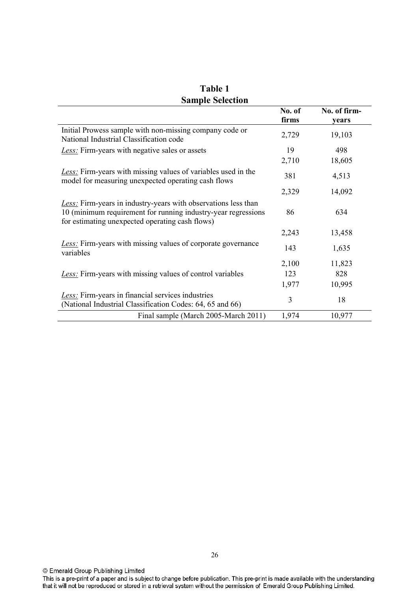|                                                                                                                                                                                            | No. of<br>firms       | No. of firm-<br>years   |
|--------------------------------------------------------------------------------------------------------------------------------------------------------------------------------------------|-----------------------|-------------------------|
| Initial Prowess sample with non-missing company code or<br>National Industrial Classification code                                                                                         | 2,729                 | 19,103                  |
| <b>Less</b> : Firm-years with negative sales or assets                                                                                                                                     | 19                    | 498                     |
|                                                                                                                                                                                            | 2,710                 | 18,605                  |
| <b>Less:</b> Firm-years with missing values of variables used in the<br>model for measuring unexpected operating cash flows                                                                | 381                   | 4,513                   |
|                                                                                                                                                                                            | 2,329                 | 14,092                  |
| <b>Less:</b> Firm-years in industry-years with observations less than<br>10 (minimum requirement for running industry-year regressions)<br>for estimating unexpected operating cash flows) | 86                    | 634                     |
|                                                                                                                                                                                            | 2,243                 | 13,458                  |
| <b>Less:</b> Firm-years with missing values of corporate governance<br>variables                                                                                                           | 143                   | 1,635                   |
| Less: Firm-years with missing values of control variables                                                                                                                                  | 2,100<br>123<br>1,977 | 11,823<br>828<br>10,995 |
| <b>Less:</b> Firm-years in financial services industries<br>(National Industrial Classification Codes: 64, 65 and 66)                                                                      | 3                     | 18                      |
| Final sample (March 2005-March 2011)                                                                                                                                                       | 1,974                 | 10,977                  |

**Table 1 Sample Selection** 

<sup>©</sup> Emerald Group Publishing Limited<br>This is a pre-print of a paper and is subject to change before publication. This pre-print is made available with the understanding<br>that it will not be reproduced or stored in a retrieval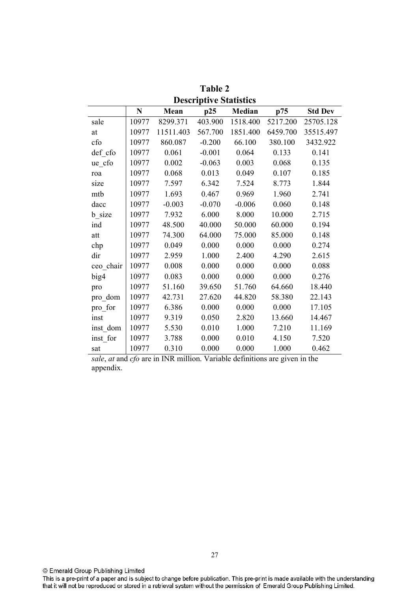|           | N     | Mean      | p25      | <b>Median</b> | p75      | <b>Std Dev</b> |
|-----------|-------|-----------|----------|---------------|----------|----------------|
| sale      | 10977 | 8299.371  | 403.900  | 1518.400      | 5217.200 | 25705.128      |
| at        | 10977 | 11511.403 | 567.700  | 1851.400      | 6459.700 | 35515.497      |
| cfo       | 10977 | 860.087   | $-0.200$ | 66.100        | 380.100  | 3432.922       |
| def cfo   | 10977 | 0.061     | $-0.001$ | 0.064         | 0.133    | 0.141          |
| $ue_c$ fo | 10977 | 0.002     | $-0.063$ | 0.003         | 0.068    | 0.135          |
| roa       | 10977 | 0.068     | 0.013    | 0.049         | 0.107    | 0.185          |
| size      | 10977 | 7.597     | 6.342    | 7.524         | 8.773    | 1.844          |
| mtb       | 10977 | 1.693     | 0.467    | 0.969         | 1.960    | 2.741          |
| dacc      | 10977 | $-0.003$  | $-0.070$ | $-0.006$      | 0.060    | 0.148          |
| b_size    | 10977 | 7.932     | 6.000    | 8.000         | 10.000   | 2.715          |
| ind       | 10977 | 48.500    | 40.000   | 50.000        | 60.000   | 0.194          |
| att       | 10977 | 74.300    | 64.000   | 75.000        | 85.000   | 0.148          |
| chp       | 10977 | 0.049     | 0.000    | 0.000         | 0.000    | 0.274          |
| dir       | 10977 | 2.959     | 1.000    | 2.400         | 4.290    | 2.615          |
| ceo_chair | 10977 | 0.008     | 0.000    | 0.000         | 0.000    | 0.088          |
| big4      | 10977 | 0.083     | 0.000    | 0.000         | 0.000    | 0.276          |
| pro       | 10977 | 51.160    | 39.650   | 51.760        | 64.660   | 18.440         |
| pro dom   | 10977 | 42.731    | 27.620   | 44.820        | 58.380   | 22.143         |
| pro_for   | 10977 | 6.386     | 0.000    | 0.000         | 0.000    | 17.105         |
| inst      | 10977 | 9.319     | 0.050    | 2.820         | 13.660   | 14.467         |
| inst dom  | 10977 | 5.530     | 0.010    | 1.000         | 7.210    | 11.169         |
| inst_for  | 10977 | 3.788     | 0.000    | 0.010         | 4.150    | 7.520          |
| sat       | 10977 | 0.310     | 0.000    | 0.000         | 1.000    | 0.462          |

**3' Descriptive Statistics** 

*sale*, *at* and *cfo* are in INR million. Variable definitions are given in the appendix.

© Emerald Group Publishing Limited

This is a pre-print of a paper and is subject to change before publication. This pre-print is made available with the understanding<br>that it will not be reproduced or stored in a retrieval system without the permission of E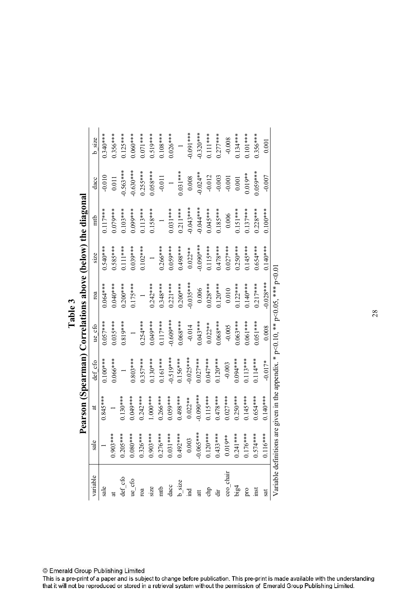ind 0.003 0.022\*\* 0.025\*\*\* 0.014 0.035\*\*\* 0.022\*\* 0.043\*\*\* 0.008 0.091\*\*\* \*\*\*\*0CCO- \*\*\*\* 0.0- \*\*\*\* 0.001 0.0900.00 \*\*\*\* 0.02100 \*\*\*\* 0.0210 \*\*\*\* 0.0020\*\*\* 0.0220\*\* sale 1 0.845\*\*\* 0.100\*\*\* 0.057\*\*\* 0.064\*\*\* 0.540\*\*\* 0.117\*\*\* 0.010 0.340\*\*\* \*\*\*\*95CO 1 1 0.0 \*\*\*\*52O.0 \*\*\*\*05CO \*\*\*\*50501 \*\*\*\*99010 1 \*\*\*\*0501 1 tt def\_cfo 0.205\*\*\* 0.130\*\*\* 1 0.819\*\*\* 0.200\*\*\* 0.111\*\*\* 0.103\*\*\* 0.563\*\*\* 0.125\*\*\* ue\_cfo 0.080\*\*\* 0.049\*\*\* 0.803\*\*\* 1 0.175\*\*\* 0.039\*\*\* 0.099\*\*\* 0.630\*\*\* 0.060\*\*\* roa 0.326\*\*\* 0.242\*\*\* 0.357\*\*\* 0.254\*\*\* 1 0.102\*\*\* 0.113\*\*\* 0.255\*\*\* 0.071\*\*\* \*\*\*\*0.51.00 \*\*\*\* 2.95010 \*\*\*\* 2.51.0 \*\*\*\* 0.427.00 \*\*\*\* 0.5110 \*\*\*\* 0.05 1 \*\*\*\* 0.2761 0.2676 1.0267 1.0267 1.026 1.0276 1.0276 1.0276 1.0276 1.0276 1.0276 1 dacc 0.031\*\*\* 0.059\*\*\* 0.519\*\*\* 0.609\*\*\* 0.221\*\*\* 0.059\*\*\* 0.031\*\*\* 1 0.026\*\*\* chp 0.120\*\*\* 0.115\*\*\* 0.047\*\*\* 0.022\*\* 0.028\*\*\* 0.115\*\*\* 0.045\*\*\* 0.012 0.111\*\*\* big4 0.241\*\*\* 0.250\*\*\* 0.094\*\*\* 0.063\*\*\* 0.122\*\*\* 0.250\*\*\* 0.151\*\*\* 0.001 0.134\*\*\* \*\*\*\*10110 \*\* 6.1010 \*\*\*\*\*\* 0.113 \*\*\*\* 0.0113 \*\*\*\* 0.010 \*\*\*\*\* 0.113 \*\*\*\* 0.113 0.1 inst 0.574\*\*\* 0.654\*\*\* 0.114\*\*\* 0.051\*\*\* 0.217\*\*\* 0.654\*\*\* 0.228\*\*\* 0.059\*\*\* 0.356\*\*\*  $0.340***$  $0.091***$  $0.320***$  $0.111***$  $0.101***$  $0.356***$  $0.356***$  $0.125***$  $0.060***$  $0.277***$ dir 0.473\*\*\*\* 0.478\*\*\*\* 0.478\*\*\*\* 0.120\*\* 0.06\*\*\* 0.120\* 0.06\*\*\* 0.120\*\* 0.478\*\*\* 0.478\*\*\* 0.478\*\*\*  $0.134***$  $0.071***$  $0.519***$  $0.108***$  $0.026***$  $-0.008$ b size variable sale at def\_cfo ue\_cfo roa size mtb dacc b\_size ceo\_chair 0.019\*\* 0.027\*\*\* 0.003 0.005 0.010 0.027\*\*\* 0.006 0.001 0.008 0.001 sat 0.116\*\*\* 0.140\*\*\* 0.017\* 0.008 0.028\*\*\* 0.140\*\*\* 0.100\*\*\* 0.007 0.001 b\_size 0.492\*\*\* 0.498\*\*\* 0.156\*\*\* 0.068\*\*\* 0.200\*\*\* 0.498\*\*\* 0.211\*\*\* 0.031\*\*\* 1  $0.058***$  $0.563***$  $0.630***$  $0.031***$  $0.255***$  $-0.024**$  $0.059***$  $0.019**$  $-0.010$  $-0.011$  $0.008$  $-0.012$  $-0.003$  $-0.007$  $0.011$  $-0.001$  $0.001$ dacc  $\overline{a}$  $na$ w) the diago  $0.117***$  $0.031***$  $-0.043***$  $-0.044***$  $0.211***$  $0.045***$  $0.151***$  $0.137***$  $0.228***$  $0.079***$  $0.103***$  $0.09$ \*\*\*\*  $0.113***$  $0.158***$  $0.185***$  $0.100***$ 0.006 mtb  $0.585***$  $0.540***$  $0.102***$  $0.059***$  $0.498***$  $0.090***$  $0.115***$  $0.478***$  $0.027***$  $0.250***$  $0.145***$  $0.654***$  $0.140***$  $0.111***$  $0.039***$  $0.266***$  $0.022**$  $size$ ve (belo  $-0.028***$  $0.242***$  $0.348***$  $0.200***$  $0.035***$  $0.028***$  $0.122***$  $0.140***$  $0.217***$  $0.064***$  $0.040***$  $0.200***$  $0.175***$  $0.221***$  $0.120***$ **-**0.006  $0.010\,$ roa rrelatio  $0.60$ \*\*\*  $0.057***$  $0.254***$ 1.049\*\*\*\*  $0.117***$  $0.068***$  $0.022**$  $0.068***$  $0.063***$  $0.061***$  $0.051***$  $0.035***$  $0.819***$  $-0.014$  $0.043***$ ue cfo  $-0.005$  $0.008$ earman) Co  $0.130***$  $0.161***$  $0.519***$  $0.156***$  $-0.025***$  $0.027***$  $0.047***$  $0.120***$ 0.094 \*\*\*  $0.113***$  $0.114***$ def cfo  $0.100***$  $0.066***$  $0.803***$  $0.357***$  $-0.003$  $-0.017*$ **1**<br>**7**  $-0.090***$  $0.115***$  $0.250***$  $0.140***$  $0.845***$  $0.130***$  $0.049***$  $0.242***$  $1.000***$  $0.266***$  $0.059***$ 1498\*\*\*  $0.478***$  $0.027***$  $0.145***$  $0.654***$  $0.022**$  $\sharp$ Pearso  $0.326***$  $0.903***$  $0.276***$  $0.031***$  $0.492***$  $0.065***$  $0.120***$  $0.433***$  $0.019**$  $0.241***$  $0.574***$  $0.116***$  $0.903***$  $0.205***$  $0.080***$  $0.176***$ 0.003 sale ceo\_chair variable def cfo ue cfo  $b$  size dacc big4 mtb sale  $size$  $\overline{a}$  $\overline{0}$ a chp  $\overline{010}$ inst  $\frac{1}{6}$ Ë  $\ddot{a}$ sat

Table 3

© Emerald Group Publishing Limited

This is a pre-print of a paper and is subject to change before publication. This pre-print is made available with the understanding that it will not be reproduced or stored in a retrieval system without the permission of Emerald Group Publishing Limited.

Variable definitions are given in the appendix.  $*$  p<0.10,  $**$  p<0.05,  $**$  p<0.01 Variable definitions are given in the appendix. \*  $p<0.10$ , \*\*  $p<0.05$ , \*\*\*  $p<0.01$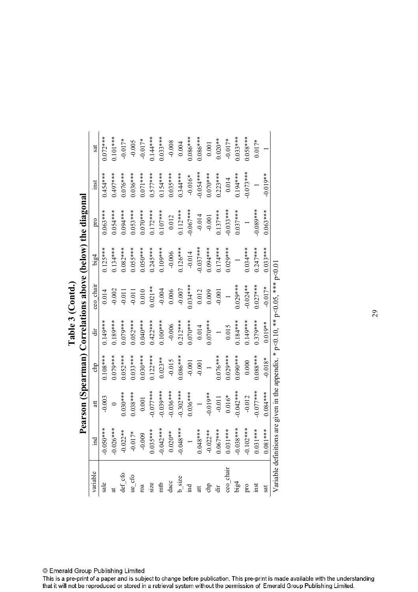|                                                                                                                                                                                                                                                                                                                                                                                                                                                                           |                                                                                                                                                                                                                          |                          |            |            |            |              | Pearson (Spearman) Correlations above (below) the diagonal |             |            |
|---------------------------------------------------------------------------------------------------------------------------------------------------------------------------------------------------------------------------------------------------------------------------------------------------------------------------------------------------------------------------------------------------------------------------------------------------------------------------|--------------------------------------------------------------------------------------------------------------------------------------------------------------------------------------------------------------------------|--------------------------|------------|------------|------------|--------------|------------------------------------------------------------|-------------|------------|
| variable                                                                                                                                                                                                                                                                                                                                                                                                                                                                  | $\overline{m}$                                                                                                                                                                                                           | ä                        | chp        | ÷          | ceo chair  | big4         | pro                                                        | inst        | sat        |
|                                                                                                                                                                                                                                                                                                                                                                                                                                                                           |                                                                                                                                                                                                                          | $-0.003$                 | $0.108***$ | 0.149***   | 0.014      | $0.125***$   | $0.063***$                                                 | $0.454**$   | $1.072***$ |
|                                                                                                                                                                                                                                                                                                                                                                                                                                                                           |                                                                                                                                                                                                                          | $\circ$                  | $0.079***$ | $0.189***$ | 0.002      | $0.134***$   | 0.054****                                                  | $0.497***$  | $0.101***$ |
|                                                                                                                                                                                                                                                                                                                                                                                                                                                                           |                                                                                                                                                                                                                          | $0.030***$               | $0.052***$ | $0.079***$ | $-0.011$   | $0.082***$   | $0.094***$                                                 | $0.076***$  | $-0.017*$  |
|                                                                                                                                                                                                                                                                                                                                                                                                                                                                           |                                                                                                                                                                                                                          | $0.038***$               | $0.033***$ | $0.052***$ | $-0.011$   | $0.055***$   | $0.053***$                                                 | $0.036***$  | $-0.005$   |
|                                                                                                                                                                                                                                                                                                                                                                                                                                                                           |                                                                                                                                                                                                                          | 0.001                    | $0.030***$ | $0.040***$ | 0.010      | $0.050***$   | $0.070***$                                                 | $0.071***$  | $-0.017*$  |
|                                                                                                                                                                                                                                                                                                                                                                                                                                                                           |                                                                                                                                                                                                                          | $-0.077***$              | $0.122***$ | $0.422***$ | $0.021**$  | $0.245***$   | $0.172***$                                                 | $0.577***$  | $0.144***$ |
| $\begin{array}{lll} \mathbf{a}\mathbf{b}&\mathbf{c}\mathbf{c}\mathbf{c}\\ \mathbf{c}\mathbf{c}\mathbf{c}\\ \mathbf{d}\mathbf{c}&\mathbf{c}\mathbf{c}\\ \mathbf{b}&\mathbf{c}\mathbf{c}\\ \mathbf{c}\mathbf{c}\mathbf{c}\\ \mathbf{c}\mathbf{c}\\ \mathbf{c}\mathbf{c}\\ \mathbf{c}\mathbf{c}\\ \mathbf{c}\mathbf{c}\\ \mathbf{c}\mathbf{c}\\ \mathbf{c}\mathbf{c}\\ \mathbf{c}\mathbf{c}\\ \mathbf{c}\mathbf{c}\\ \mathbf{c}\mathbf{c}\\ \mathbf{c}\mathbf{c}\\ \mathbf{$ | $-0.050***$<br>$-0.026***$<br>$-0.022***$<br>$-0.017*$<br>$-0.009$<br>$-0.042***$<br>$-0.048***$<br>$-0.048***$<br>$-0.048***$<br>$-0.048***$<br>$-0.048***$<br>$-0.057***$<br>$-0.057***$<br>$-0.057***$<br>$-0.057***$ | $-0.039***$              | $0.023**$  | $0.100***$ | $-0.004$   | $0.109***$   | $0.107***$                                                 | $0.154***$  | $0.033***$ |
|                                                                                                                                                                                                                                                                                                                                                                                                                                                                           |                                                                                                                                                                                                                          | $-0.036***$              | $-0.015$   | $-0.006$   | 0.006      | $-0.006$     | 0.012                                                      | $0.035***$  | $-0.008$   |
|                                                                                                                                                                                                                                                                                                                                                                                                                                                                           |                                                                                                                                                                                                                          | $-0.302***$              | $0.086***$ | $0.212***$ | $-0.007$   | $0.126***$   | $0.112***$                                                 | $0.344***$  | 0.004      |
|                                                                                                                                                                                                                                                                                                                                                                                                                                                                           |                                                                                                                                                                                                                          | $0.036***$               | $-0.001$   | $0.070***$ | $0.034***$ | $-0.014$     | $-0.067***$                                                | $-0.016*$   | $0.086***$ |
|                                                                                                                                                                                                                                                                                                                                                                                                                                                                           |                                                                                                                                                                                                                          | $\overline{\phantom{0}}$ | $-0.001$   | 0.014      | 0.012      | $-0.037$ *** | $-0.014$                                                   | $-0.054***$ | $0.086***$ |
|                                                                                                                                                                                                                                                                                                                                                                                                                                                                           |                                                                                                                                                                                                                          | $-0.019**$               |            | $0.070***$ | 0.009      | $0.094***$   | $-0.001$                                                   | $0.070***$  | 0.001      |
|                                                                                                                                                                                                                                                                                                                                                                                                                                                                           |                                                                                                                                                                                                                          | $-0.011$                 | $0.076***$ |            | $-0.001$   | $0.174***$   | $0.137***$                                                 | $0.223***$  | $0.020**$  |
|                                                                                                                                                                                                                                                                                                                                                                                                                                                                           |                                                                                                                                                                                                                          | $0.016*$                 | $0.029***$ | 0.015      |            | $0.029***$   | $-0.033***$                                                | 0.014       | $-0.017*$  |
|                                                                                                                                                                                                                                                                                                                                                                                                                                                                           |                                                                                                                                                                                                                          | $-0.042$ ***             | $0.090***$ | $0.184***$ | $0.029***$ |              | $0.037***$                                                 | $0.194***$  | $0.033***$ |
|                                                                                                                                                                                                                                                                                                                                                                                                                                                                           |                                                                                                                                                                                                                          | $-0.012$                 | 0.000      | $0.149***$ | $-0.024**$ | $0.034***$   |                                                            | $-0.073***$ | $0.058***$ |
|                                                                                                                                                                                                                                                                                                                                                                                                                                                                           |                                                                                                                                                                                                                          | $-0.077$ ***             | $0.088***$ | $0.379***$ | $0.027***$ | $0.247***$   | $-0.089***$                                                |             | $0.017*$   |
| sat                                                                                                                                                                                                                                                                                                                                                                                                                                                                       |                                                                                                                                                                                                                          | $0.084***$               | $-0.018*$  | $0.019**$  | $-0.017*$  | $0.033***$   | $0.063***$                                                 | $-0.019**$  |            |

|                                | $\theta$ the diago                         |
|--------------------------------|--------------------------------------------|
|                                |                                            |
| $\overline{5}$<br>Table 3 (Cor | $_{0}$ ns above (below)<br>man) Correlatio |
|                                |                                            |

This is a pre-print of a paper and is subject to change before publication. This pre-print is made available with the understanding<br>that it will not be reproduced or stored in a retrieval system without the permission of E

Variable definitions are given in the appendix.  $*$  p<0.10,  $**$  p<0.05,  $**$  p<0.01 Variable definitions are given in the appendix. \*  $p<0.10$ , \*\*  $p<0.05$ , \*\*\*  $p<0.01$ 

 $\overline{\phantom{a}}$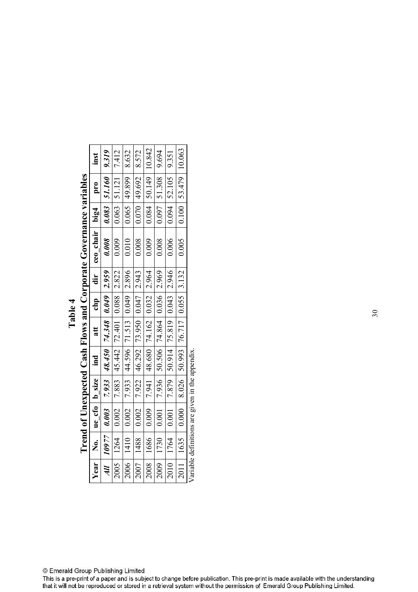|               |         |                                                |                     |                                           |     |     |       | Trend of Unexpected Cash Flows and Corporate Governance variables |                                 |                      |        |
|---------------|---------|------------------------------------------------|---------------------|-------------------------------------------|-----|-----|-------|-------------------------------------------------------------------|---------------------------------|----------------------|--------|
| Year          | 。<br>No |                                                | $ue_c$ cfo   b_size | ind                                       | att | chp | dir   | ceo chair                                                         | $\frac{\text{big}}{\text{big}}$ | pro                  | inst   |
| $\frac{1}{2}$ |         | $10977$ 0.003                                  |                     | $7.933$   48.450   74.348   0.049   2.959 |     |     |       | 0.008                                                             |                                 | $0.083$ 51.160 9.319 |        |
| 2005          | 1264    | 0.002                                          | 7.883               | 45.442 72.401 0.088                       |     |     | 2.822 | 0.009                                                             | 0.063                           | 51.121               | 7.412  |
| 2006          | 1410    | 0.002                                          |                     | 7.933 44.596 71.513 0.049 2.896           |     |     |       | 0.010                                                             |                                 | $0.065$ 49.899       | 8.632  |
| 2007          | 1488    | 0.002                                          | 7.922               | 46.292 73.950 0.047 2.943                 |     |     |       | 0.008                                                             | 0.070                           | 49.692               | 8.572  |
| 2008          | 1686    | 0.009                                          |                     | 7.941 48.680 74.162 0.032 2.964           |     |     |       | 0.009                                                             | 0.084                           | $50.149$ 10.842      |        |
| 2009          | 1730    | 0.001                                          | 7.936               | 50.506 74.864 0.036 2.969                 |     |     |       | 0.008                                                             | 1600                            | 51.308               | 9.694  |
| 2010          | 1764    | 0.001                                          | 7.879               | $50.914$ 75.819 0.043 2.946               |     |     |       | 0.006                                                             | 0.094                           | $ 52.105 $ 9.351     |        |
|               | 1635    | 0.000                                          | 8.026               | 50.993 76.717 0.055 3.132                 |     |     |       | 0.005                                                             |                                 | $0.100$ 53.479       | 10.063 |
|               |         | Variable definitions are given in the appendix |                     |                                           |     |     |       |                                                                   |                                 |                      |        |

 $\ddot{a}$  **:-Table 4**  $_{\rm WS}$  and  $_{\rm Co}$ ected Cash Flo ŗ Á  $\zeta$ 

Variable definitions are given in the appendix. Variable definitions are given in the appendix.

© Emerald Group Publishing Limited<br>This is a pre-print of a paper and is subject to change before publication. This pre-print is made available with the understanding<br>that it will not be reproduced or stored in a retrieval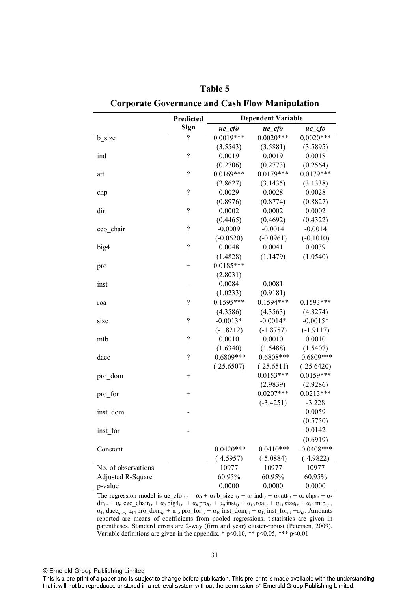|                          | Predicted                |              | <b>Dependent Variable</b> |               |
|--------------------------|--------------------------|--------------|---------------------------|---------------|
|                          | <b>Sign</b>              | $ue_c$ fo    | ue cfo                    | ue_cfo        |
| b size                   | $\overline{\mathcal{C}}$ | $0.0019***$  | $0.0020***$               | $0.0020***$   |
|                          |                          | (3.5543)     | (3.5881)                  | (3.5895)      |
| ind                      | $\overline{\mathcal{L}}$ | 0.0019       | 0.0019                    | 0.0018        |
|                          |                          | (0.2706)     | (0.2773)                  | (0.2564)      |
| att                      | $\overline{\mathcal{C}}$ | $0.0169***$  | $0.0179***$               | $0.0179***$   |
|                          |                          | (2.8627)     | (3.1435)                  | (3.1338)      |
| chp                      | $\overline{\mathcal{L}}$ | 0.0029       | 0.0028                    | 0.0028        |
|                          |                          | (0.8976)     | (0.8774)                  | (0.8827)      |
| dir                      | $\overline{\mathcal{L}}$ | 0.0002       | 0.0002                    | 0.0002        |
|                          |                          | (0.4465)     | (0.4692)                  | (0.4322)      |
| ceo_chair                | $\overline{\mathcal{L}}$ | $-0.0009$    | $-0.0014$                 | $-0.0014$     |
|                          |                          | $(-0.0620)$  | $(-0.0961)$               | $(-0.1010)$   |
| big4                     | $\overline{\mathcal{C}}$ | 0.0048       | 0.0041                    | 0.0039        |
|                          |                          | (1.4828)     | (1.1479)                  | (1.0540)      |
| pro                      | $^{+}$                   | $0.0185***$  |                           |               |
|                          |                          | (2.8031)     |                           |               |
| inst                     |                          | 0.0084       | 0.0081                    |               |
|                          |                          | (1.0233)     | (0.9181)                  |               |
| roa                      | $\overline{\mathcal{C}}$ | $0.1595***$  | $0.1594***$               | $0.1593***$   |
|                          |                          | (4.3586)     | (4.3563)                  | (4.3274)      |
| size                     | $\overline{\mathcal{C}}$ | $-0.0013*$   | $-0.0014*$                | $-0.0015*$    |
|                          |                          | $(-1.8212)$  | $(-1.8757)$               | $(-1.9117)$   |
| mtb                      | $\overline{\mathcal{L}}$ | 0.0010       | 0.0010                    | 0.0010        |
|                          |                          | (1.6340)     | (1.5488)                  | (1.5407)      |
| dacc                     | $\overline{\mathcal{L}}$ | $-0.6809***$ | $-0.6808***$              | $-0.6809***$  |
|                          |                          | $(-25.6507)$ | $(-25.6511)$              | $(-25.6420)$  |
| pro_dom                  | $\mathrm{+}$             |              | $0.0153***$               | $0.0159***$   |
|                          |                          |              | (2.9839)                  | (2.9286)      |
| pro_for                  | $^{+}$                   |              | $0.0207***$               | $0.0213***$   |
|                          |                          |              | $(-3.4251)$               | $-3.228$      |
| inst dom                 |                          |              |                           | 0.0059        |
|                          |                          |              |                           | (0.5750)      |
| inst for                 |                          |              |                           | 0.0142        |
|                          |                          |              |                           | (0.6919)      |
| Constant                 |                          | $-0.0420***$ | $-0.0410***$              | $-0.0408$ *** |
|                          |                          | $(-4.5957)$  | $(-5.0884)$               | $(-4.9822)$   |
| No. of observations      |                          | 10977        | 10977                     | 10977         |
| <b>Adjusted R-Square</b> |                          | 60.95%       | 60.95%                    | 60.95%        |
| p-value                  |                          | 0.0000       | 0.0000                    | 0.0000        |

Table 5 **Corporate Governance and Cash Flow Manipulation** 

The regression model is ue\_cfo  $_{i,t} = \alpha_0 + \alpha_1 b$ \_size  $_{i,t} + \alpha_2 ind_{i,t} + \alpha_3 att_{i,t} + \alpha_4 chp_{i,t} + \alpha_5$  $dir_{i,t} + \alpha_6$  ceo\_chair<sub>i,t</sub> +  $\alpha_7$   $\overline{big}4_{i,t} + \alpha_8$  pro<sub>i,t</sub> +  $\overline{\alpha_9}$  inst<sub>i,t</sub> +  $\alpha_{10}$  roa<sub>i,t</sub> +  $\alpha_{11}$  size<sub>i,t</sub> +  $\alpha_{12}$  mtb<sub>i,t +</sub>  $\alpha_{13}$  dacc<sub>i,t+</sub>,  $\alpha_{14}$  pro\_dom<sub>i,t</sub> +  $\alpha_{15}$  pro\_for<sub>i,t</sub> +  $\alpha_{16}$  inst\_dom<sub>i,t</sub> +  $\alpha_{17}$  inst\_for<sub>i,t</sub> +  $\omega_{i,t}$ . Amounts reported are means of coefficients from pooled regressions. t-statistics are given in parentheses. Standard errors are 2-way (firm and year) cluster-robust (Petersen, 2009). Variable definitions are given in the appendix. \*  $p<0.10$ , \*\*  $p<0.05$ , \*\*\*  $p<0.01$ 

© Emerald Group Publishing Limited

This is a pre-print of a paper and is subject to change before publication. This pre-print is made available with the understanding that it will not be reproduced or stored in a retrieval system without the permission of Emerald Group Publishing Limited.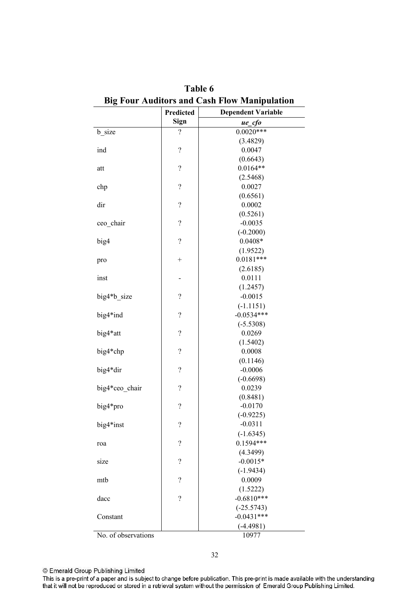|                     | Predicted                | <b>Dependent Variable</b> |
|---------------------|--------------------------|---------------------------|
|                     | <b>Sign</b>              | ue_cfo                    |
| b_size              | $\overline{\mathcal{L}}$ | $0.0020***$               |
|                     |                          | (3.4829)                  |
| ind                 | $\overline{\mathcal{C}}$ | 0.0047                    |
|                     |                          | (0.6643)                  |
| att                 | $\overline{\mathcal{L}}$ | $0.0164**$                |
|                     |                          | (2.5468)                  |
| chp                 | $\overline{\mathcal{L}}$ | 0.0027                    |
|                     |                          | (0.6561)                  |
| dir                 | $\overline{\mathcal{L}}$ | 0.0002                    |
|                     |                          | (0.5261)                  |
| ceo_chair           | $\overline{\mathcal{L}}$ | $-0.0035$                 |
|                     |                          | $(-0.2000)$               |
| big4                | $\overline{\mathcal{L}}$ | $0.0408*$                 |
|                     |                          | (1.9522)                  |
| pro                 | $^{+}$                   | $0.0181***$               |
|                     |                          | (2.6185)                  |
| inst                |                          | 0.0111                    |
|                     |                          | (1.2457)                  |
| big4*b size         | $\overline{\mathcal{L}}$ | $-0.0015$                 |
|                     |                          | $(-1.1151)$               |
| big4*ind            | $\overline{\mathcal{L}}$ | $-0.0534***$              |
|                     |                          | $(-5.5308)$               |
| big4*att            | $\overline{\mathcal{C}}$ | 0.0269                    |
|                     |                          | (1.5402)                  |
| big4*chp            | $\overline{\mathcal{C}}$ | 0.0008                    |
|                     |                          | (0.1146)                  |
| big4*dir            | $\overline{\mathcal{L}}$ | $-0.0006$                 |
|                     |                          | $(-0.6698)$               |
| big4*ceo_chair      | $\overline{\mathcal{L}}$ | 0.0239                    |
|                     |                          | (0.8481)                  |
| big4*pro            | $\overline{\mathcal{L}}$ | $-0.0170$                 |
|                     |                          | $(-0.9225)$               |
| big4*inst           | $\overline{\mathcal{C}}$ | $-0.0311$                 |
|                     |                          | $(-1.6345)$               |
| roa                 | $\overline{\mathcal{C}}$ | $0.1594***$               |
|                     |                          | (4.3499)                  |
| size                | $\overline{\mathcal{L}}$ | $-0.0015*$                |
|                     |                          | $(-1.9434)$               |
| mtb                 | $\overline{\mathcal{L}}$ | 0.0009                    |
|                     |                          | (1.5222)                  |
| dacc                | $\overline{?}$           | $-0.6810***$              |
|                     |                          | $(-25.5743)$              |
| Constant            |                          | $-0.0431***$              |
|                     |                          | $(-4.4981)$               |
| No. of observations |                          | 10977                     |

Table 6 Big Four Auditors and Cash Flow Manipulation

32

© Emerald Group Publishing Limited

This is a pre-print of a paper and is subject to change before publication. This pre-print is made available with the understanding<br>that it will not be reproduced or stored in a retrieval system without the permission of E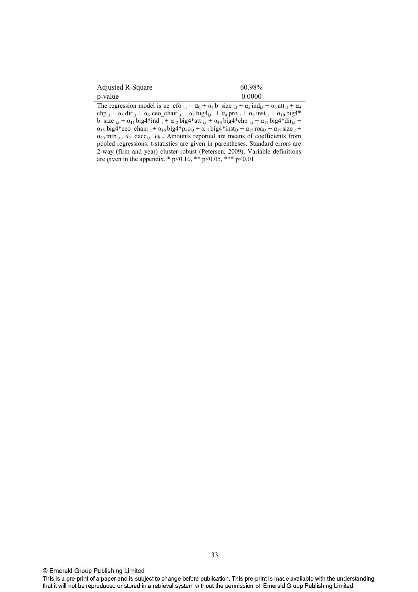| Adjusted R-Square | 60.98% |
|-------------------|--------|
| p-value           | 0.0000 |

The regression model is ue\_cfo  $_{i,t} = \alpha_0 + \alpha_1 b$ \_size  $_{i,t} + \alpha_2 \text{ ind}_{i,t} + \alpha_3 \text{ att}_{i,t} + \alpha_4$ chp<sub>i,t</sub> +  $\alpha_5$  dir<sub>i,t</sub> +  $\alpha_6$  ceo\_chair<sub>i,t</sub> +  $\alpha_7$  big4<sub>i,t</sub> +  $\alpha_8$  pro<sub>i,t</sub> +  $\alpha_9$  inst<sub>i,t</sub> +  $\alpha_{10}$  big4\* b\_size  $_{i,t}$  +  $\alpha_{11}$  big4\*ind<sub>i,t</sub> +  $\alpha_{12}$  big4\*att  $_{i,t}$  +  $\alpha_{13}$  big4\*chp  $_{i,t}$  +  $\alpha_{14}$  big4\*dir<sub>i,t</sub> +  $\alpha_{15}$  big4\*ceo\_chair<sub>i,t</sub> +  $\alpha_{16}$  big4\*pro<sub>i,t</sub> +  $\alpha_{17}$  big4\*inst<sub>i,t</sub> +  $\alpha_{18}$  roa<sub>i,t</sub> +  $\alpha_{19}$  size<sub>i,t</sub> +  $\alpha_{20}$  mtb<sub>it +</sub>  $\alpha_{21}$  dacc<sub>it</sub> +  $\omega_{11}$ . Amounts reported are means of coefficients from pooled regressions. t-statistics are given in parentheses. Standard errors are 2-way (firm and year) cluster-robust (Petersen, 2009). Variable definitions are given in the appendix. \*  $p<0.10$ , \*\*  $p<0.05$ , \*\*\*  $p<0.01$ 

This is a pre-print of a paper and is subject to change before publication. This pre-print is made available with the understanding that it will not be reproduced or stored in a retrieval system without the permission of Emerald Group Publishing Limited.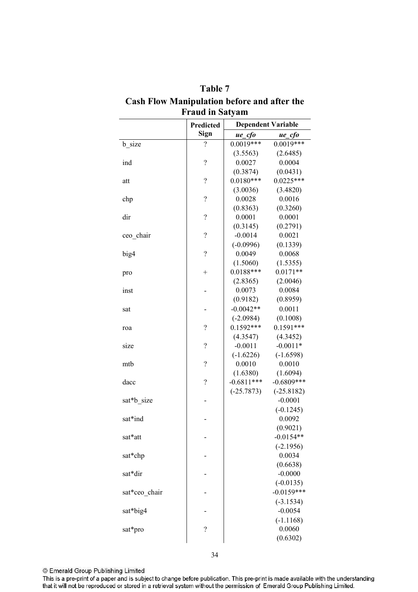|               | 1 rauu m oatyam<br>Predicted |              | <b>Dependent Variable</b> |
|---------------|------------------------------|--------------|---------------------------|
|               | <b>Sign</b>                  | $ue_c$ fo    | $ue\_cfo$                 |
| b size        | ?                            | $0.0019***$  | $0.0019***$               |
|               |                              | (3.5563)     | (2.6485)                  |
| ind           | $\overline{\mathcal{L}}$     | 0.0027       | 0.0004                    |
|               |                              | (0.3874)     | (0.0431)                  |
| att           | $\overline{\mathcal{L}}$     | $0.0180***$  | $0.0225***$               |
|               |                              | (3.0036)     | (3.4820)                  |
| chp           | $\overline{\mathcal{L}}$     | 0.0028       | 0.0016                    |
|               |                              | (0.8363)     | (0.3260)                  |
| dir           | $\overline{\mathcal{L}}$     | 0.0001       | 0.0001                    |
|               |                              | (0.3145)     | (0.2791)                  |
| ceo chair     | $\overline{\mathcal{C}}$     | $-0.0014$    | 0.0021                    |
|               |                              | $(-0.0996)$  | (0.1339)                  |
| big4          | $\overline{\mathcal{L}}$     | 0.0049       | 0.0068                    |
|               |                              | (1.5060)     | (1.5355)                  |
| pro           | $^{+}$                       | $0.0188***$  | $0.0171**$                |
|               |                              | (2.8365)     | (2.0046)                  |
| inst          |                              | 0.0073       | 0.0084                    |
|               |                              | (0.9182)     | (0.8959)                  |
| sat           |                              | $-0.0042**$  | 0.0011                    |
|               |                              | $(-2.0984)$  | (0.1008)                  |
| roa           | $\overline{\mathcal{L}}$     | $0.1592***$  | $0.1591***$               |
|               |                              | (4.3547)     | (4.3452)                  |
| size          | $\overline{\mathcal{C}}$     | $-0.0011$    | $-0.0011*$                |
|               |                              | $(-1.6226)$  | $(-1.6598)$               |
| mtb           | $\overline{\mathcal{L}}$     | 0.0010       | 0.0010                    |
|               |                              | (1.6380)     | (1.6094)                  |
| dacc          | $\overline{\mathcal{L}}$     | $-0.6811***$ | $-0.6809***$              |
|               |                              | $(-25.7873)$ | $(-25.8182)$              |
| sat*b size    |                              |              | $-0.0001$                 |
|               |                              |              | $(-0.1245)$               |
| sat*ind       |                              |              | 0.0092                    |
|               |                              |              | (0.9021)                  |
| sat*att       |                              |              | $-0.0154**$               |
|               |                              |              | $(-2.1956)$               |
| sat*chp       |                              |              | 0.0034                    |
|               |                              |              | (0.6638)                  |
| sat*dir       |                              |              | $-0.0000$                 |
|               |                              |              | $(-0.0135)$               |
| sat*ceo chair |                              |              | $-0.0159***$              |
|               |                              |              | $(-3.1534)$               |
| sat*big4      |                              |              | $-0.0054$                 |
|               |                              |              | $(-1.1168)$               |
| sat*pro       | $\overline{\mathcal{C}}$     |              | 0.0060                    |
|               |                              |              | (0.6302)                  |
|               |                              |              |                           |

**7***3* **Cash Flow Manipulation before and after the Fraud in Satyam** 

This is a pre-print of a paper and is subject to change before publication. This pre-print is made available with the understanding<br>that it will not be reproduced or stored in a retrieval system without the permission of E